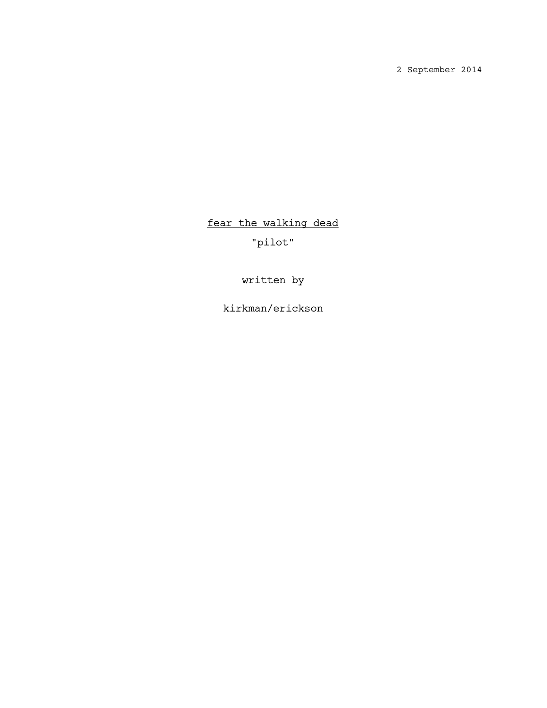2 September 2014

fear the walking dead

"pilot"

written by

kirkman/erickson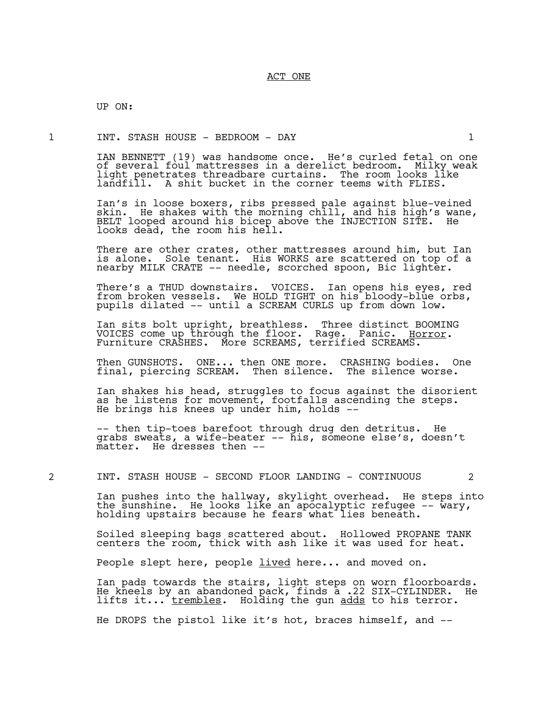UP ON:

1 INT. STASH HOUSE - BEDROOM - DAY 1

IAN BENNETT (19) was handsome once. He's curled fetal on one of several foul mattresses in a derelict bedroom. Milky weak light penetrates threadbare curtains. The room looks like landfill. A shit bucket in the corner teems with FLIES.

Ian's in loose boxers, ribs pressed pale against blue-veined skin. He shakes with the morning chill, and his high's wane, BELT looped around his bicep above the INJECTION SITE. He looks dead, the room his hell.

There are other crates, other mattresses around him, but Ian is alone. Sole tenant. His WORKS are scattered on top of a nearby MILK CRATE -- needle, scorched spoon, Bic lighter.

There's a THUD downstairs. VOICES. Ian opens his eyes, red from broken vessels. We HOLD TIGHT on his bloody-blue orbs, pupils dilated -- until a SCREAM CURLS up from down low.

Ian sits bolt upright, breathless. Three distinct BOOMING VOICES come up through the floor. Rage. Panic. <u>Horror</u>.<br>Furniture CRASHES. More SCREAMS, terrified SCREAMS.

Then GUNSHOTS. ONE... then ONE more. CRASHING bodies. One final, piercing SCREAM. Then silence. The silence worse.

Ian shakes his head, struggles to focus against the disorient as he listens for movement, footfalls ascending the steps. He brings his knees up under him, holds  $--$ 

-- then tip-toes barefoot through drug den detritus. He grabs sweats, a wife-beater -- his, someone else's, doesn't matter. He dresses then --

2 INT. STASH HOUSE - SECOND FLOOR LANDING - CONTINUOUS 2

Ian pushes into the hallway, skylight overhead. He steps into the sunshine. He looks like an apocalyptic refugee -- wary, holding upstairs because he fears what lies beneath.

Soiled sleeping bags scattered about. Hollowed PROPANE TANK centers the room, thick with ash like it was used for heat.

People slept here, people <u>lived</u> here... and moved on.

Ian pads towards the stairs, light steps on worn floorboards. He kneels by an abandoned pack, finds a .22 SIX-CYLINDER. He lifts it...<sup>-</sup>trembles. Holding the gun adds to his terror.

He DROPS the pistol like it's hot, braces himself, and --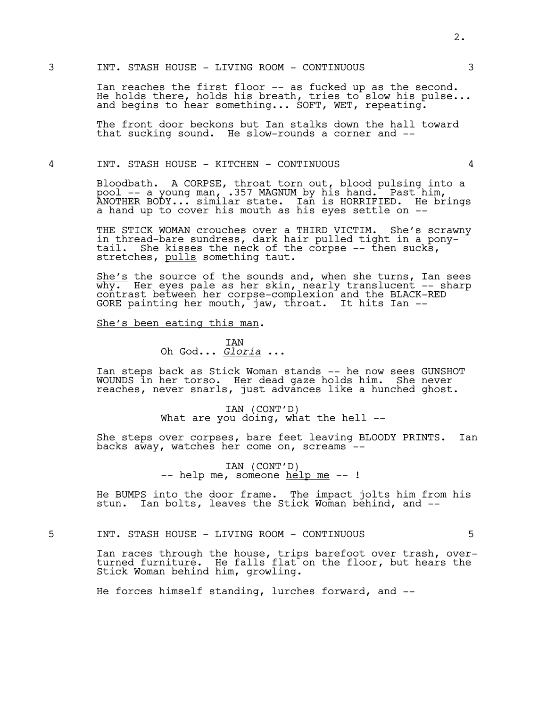Ian reaches the first floor -- as fucked up as the second. He holds there, holds his breath, tries to slow his pulse... and begins to hear something... SOFT, WET, repeating.

The front door beckons but Ian stalks down the hall toward that sucking sound. He slow-rounds a corner and --

# 4 INT. STASH HOUSE - KITCHEN - CONTINUOUS 4

Bloodbath. A CORPSE, throat torn out, blood pulsing into a pool -- a young man, .357 MAGNUM by his hand. Past him, ANOTHER BODY... similar state. Ian is HORRIFIED. He brings a hand up to cover his mouth as his eyes settle on --

THE STICK WOMAN crouches over a THIRD VICTIM. She's scrawny in thread-bare sundress, dark hair pulled tight in a ponytail. She kisses the neck of the corpse  $-$ - then sucks, stretches, pulls something taut.

She's the source of the sounds and, when she turns, Ian sees why. Her eyes pale as her skin, nearly translucent -- sharp contrast between her corpse-complexion and the BLACK-RED GORE painting her mouth, jaw, throat. It hits Ian  $-$ 

# She's been eating this man.

IAN Oh God... *Gloria* ...

Ian steps back as Stick Woman stands -- he now sees GUNSHOT WOUNDS in her torso. Her dead gaze holds him. She never reaches, never snarls, just advances like a hunched ghost.

IAN (CONT'D)<br>What are you doing, what the hell --

She steps over corpses, bare feet leaving BLOODY PRINTS. Ian backs away, watches her come on, screams --

IAN (CONT'D)<br>-- help me, someone <u>help me</u> -- !

He BUMPS into the door frame. The impact jolts him from his stun. Ian bolts, leaves the Stick Woman behind, and --

5 INT. STASH HOUSE - LIVING ROOM - CONTINUOUS 5

Ian races through the house, trips barefoot over trash, overturned furniture. He falls flat on the floor, but hears the Stick Woman behind him, growling.

He forces himself standing, lurches forward, and --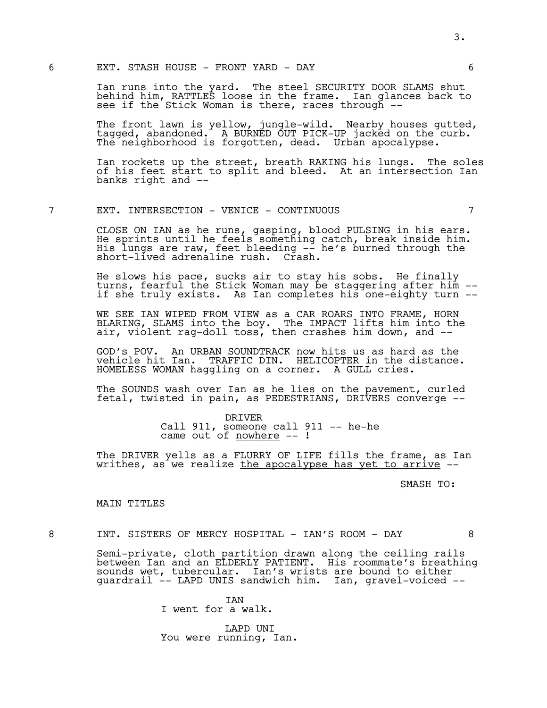Ian runs into the yard. The steel SECURITY DOOR SLAMS shut behind him, RATTLES loose in the frame. Ian glances back to see if the Stick Woman is there, races through --

The front lawn is yellow, jungle-wild. Nearby houses gutted, tagged, abandoned. A BURNED OUT PICK-UP jacked on the curb. The neighborhood is forgotten, dead. Urban apocalypse.

Ian rockets up the street, breath RAKING his lungs. The soles of his feet start to split and bleed. At an intersection Ian banks right and --

# 7 EXT. INTERSECTION - VENICE - CONTINUOUS 7

CLOSE ON IAN as he runs, gasping, blood PULSING in his ears. He sprints until he feels something catch, break inside him. His lungs are raw, feet bleeding -- he's burned through the short-lived adrenaline rush. Crash.

He slows his pace, sucks air to stay his sobs. He finally turns, fearful the Stick Woman may be staggering after him - if she truly exists. As Ian completes his one-eighty turn --

WE SEE IAN WIPED FROM VIEW as a CAR ROARS INTO FRAME, HORN BLARING, SLAMS into the boy. The IMPACT lifts him into the air, violent rag-doll toss, then crashes him down, and --

GOD's POV. An URBAN SOUNDTRACK now hits us as hard as the vehicle hit Ian. TRAFFIC DIN. HELICOPTER in the distance. HOMELESS WOMAN haggling on a corner. A GULL cries.

The SOUNDS wash over Ian as he lies on the pavement, curled fetal, twisted in pain, as PEDESTRIANS, DRIVERS converge --

> DRIVER Call 911, someone call 911 -- he-he came out of nowhere --!

The DRIVER yells as a FLURRY OF LIFE fills the frame, as Ian writhes, as we realize the apocalypse has yet to arrive --

SMASH TO:

#### MAIN TITLES

8 INT. SISTERS OF MERCY HOSPITAL - IAN'S ROOM - DAY 8

Semi-private, cloth partition drawn along the ceiling rails between Ian and an ELDERLY PATIENT. His roommate's breathing sounds wet, tubercular. Ian's wrists are bound to either guardrail -- LAPD UNIS sandwich him. Ian, gravel-voiced --

> **TAN** I went for a walk.

LAPD UNI You were running, Ian.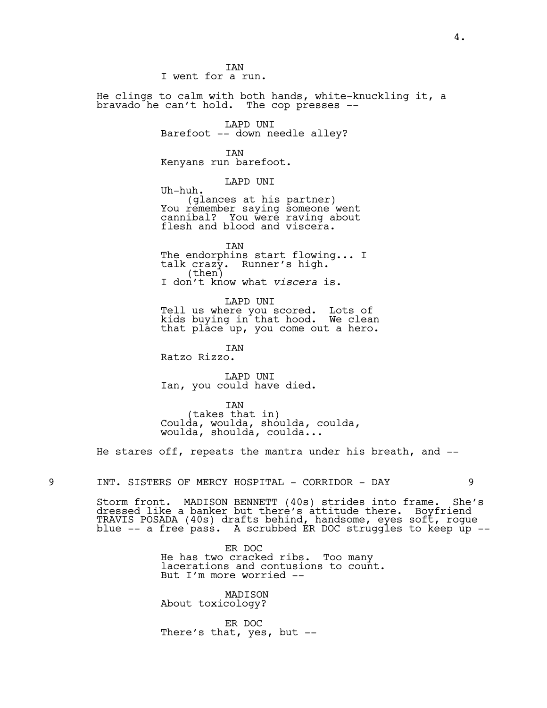I went for a run. He clings to calm with both hands, white-knuckling it, a bravado he can't hold. The cop presses -- LAPD UNI Barefoot -- down needle alley? IAN Kenyans run barefoot. LAPD UNI Uh-huh. (glances at his partner) You remember saying someone went cannibal? You were raving about flesh and blood and viscera. IAN The endorphins start flowing... I talk crazy. Runner's high.<br>(then) I don't know what *viscera* is. LAPD UNI Tell us where you scored. Lots of kids buying in that hood. We clean that place up, you come out a hero. IAN Ratzo Rizzo. LAPD UNI Ian, you could have died. IAN (takes that in) Coulda, woulda, shoulda, coulda, woulda, shoulda, coulda...

**TAN** 

He stares off, repeats the mantra under his breath, and --

9 INT. SISTERS OF MERCY HOSPITAL - CORRIDOR - DAY 9

Storm front. MADISON BENNETT (40s) strides into frame. She's dressed like a banker but there's attitude there. Boyfriend TRAVIS POSADA (40s) drafts behind, handsome, eyes soft, rogue blue -- a free`pass. A scrubbed ER DOC struggles to keep up --

> ER DOC He has two cracked ribs. Too many lacerations and contusions to count. But I'm more worried --

MADISON About toxicology?

ER DOC There's that, yes, but --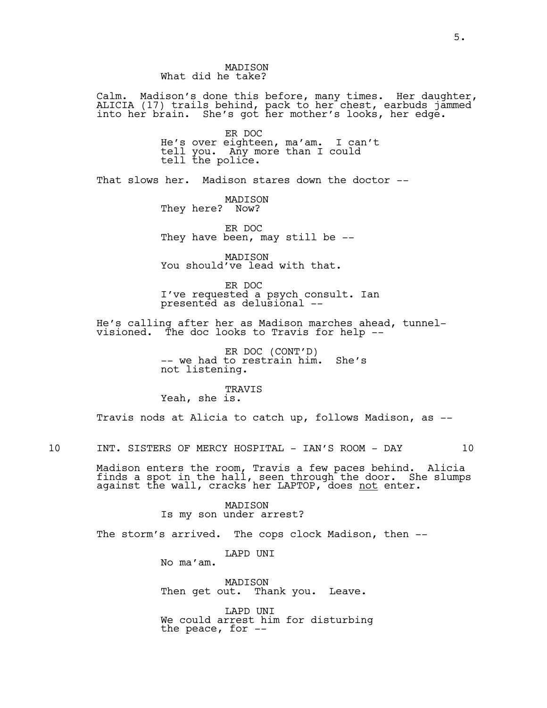# MADISON What did he take?

Calm. Madison's done this before, many times. Her daughter, ALICIA (17) trails behind, pack to her chest, earbuds jammed into her brain. She's got her mother's looks, her edge.

> ER DOC He's over eighteen, ma'am. I can't tell you. Any more than I could tell the police.

That slows her. Madison stares down the doctor --

MADISON They here? Now?

ER DOC They have been, may still be --

MADISON You should've lead with that.

ER DOC I've requested a psych consult. Ian presented as delusional --

He's calling after her as Madison marches ahead, tunnelvisioned. The doc looks to Travis for help --

> ER DOC (CONT'D) -- we had to restrain him. She's not listening.

TRAVIS Yeah, she is.

Travis nods at Alicia to catch up, follows Madison, as --

10 INT. SISTERS OF MERCY HOSPITAL - IAN'S ROOM - DAY 10

Madison enters the room, Travis a few paces behind. Alicia finds a spot in the hall, seen through the door. She slumps against the wall, cracks her LAPTOP, does <u>not</u> enter.

> MADISON Is my son under arrest?

The storm's arrived. The cops clock Madison, then --

LAPD UNI

No ma'am.

MADISON Then get out. Thank you. Leave.

LAPD UNI We could arrest him for disturbing the peace, for  $-$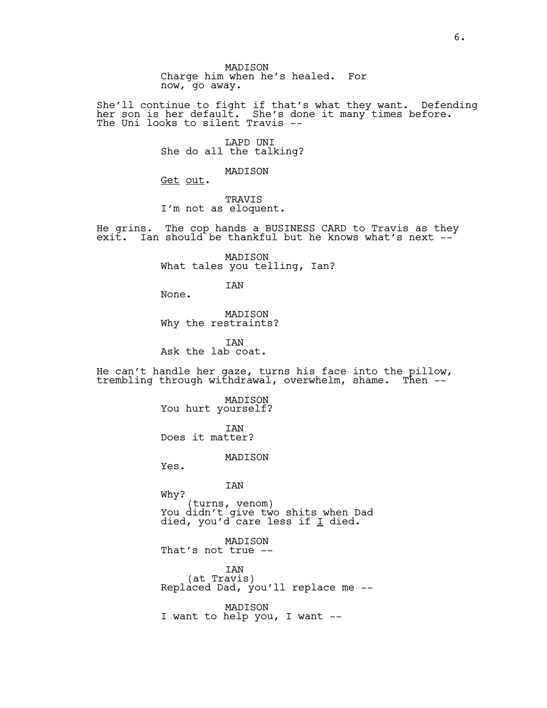MADISON Charge him when he's healed. For now, go away.

She'll continue to fight if that's what they want. Defending her son is her default. She's done it many times before. The Uni looks to silent Travis --

> LAPD UNI She do all the talking?

> > MADISON

Get out.

TRAVIS I'm not as eloquent.

He grins. The cop hands a BUSINESS CARD to Travis as they exit. Ian should be thankful but he knows what's next --

> MADISON What tales you telling, Ian?

> > IAN

None.

MADISON Why the restraints?

**TAN** Ask the lab coat.

He can't handle her gaze, turns his face into the pillow, trembling through withdrawal, overwhelm, shame. Then --'

> MADISON You hurt yourself? IAN Does it matter?

> > MADISON

Yes.

IAN

Why? (turns, venom) You didn't give two shits when Dad died, you'd care less if  $\underline{\texttt{I}}$  died.

MADISON That's not true --

IAN<br>(at Travis) Replaced Dad, you'll replace me  $-$ -

MADISON I want to help you, I want --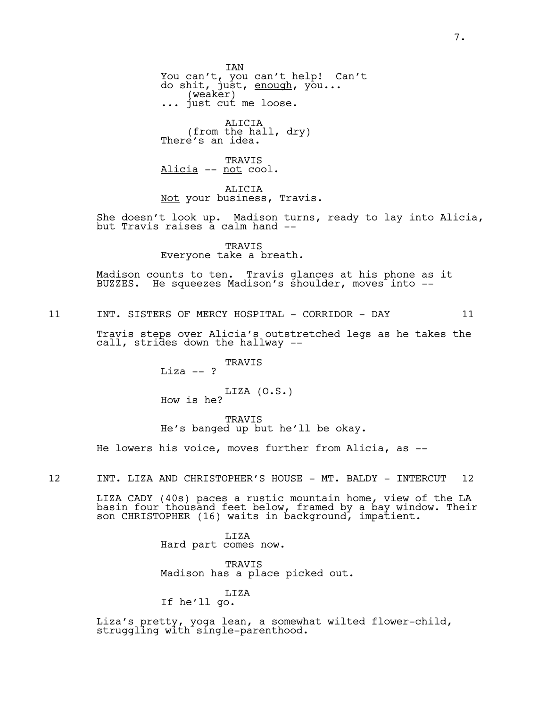IAN You can't, you can't help! Can't do shit, just, <u>enough</u>, you... (weaker) ... just cut me loose.

ALICIA (from the hall, dry) There's an idea.

TRAVIS Alicia -- not cool.

ALICIA Not your business, Travis.

She doesn't look up. Madison turns, ready to lay into Alicia, but Travis raises a calm hand --

> TRAVIS Everyone take a breath.

Madison counts to ten. Travis glances at his phone as it BUZZES. He squeezes Madison's shoulder, moves into --

11 INT. SISTERS OF MERCY HOSPITAL - CORRIDOR - DAY 11

Travis steps over Alicia's outstretched legs as he takes the call, strides down the hallway --

> TRAVIS  $Liza -- ?$ LIZA (O.S.) How is he?

TRAVIS He's banged up but he'll be okay.

He lowers his voice, moves further from Alicia, as --

12 INT. LIZA AND CHRISTOPHER'S HOUSE - MT. BALDY - INTERCUT 12

LIZA CADY (40s) paces a rustic mountain home, view of the LA basin four thousand feet below, framed by a bay window. Their son CHRISTOPHER (16) waits in background, impatient.

> LIZA Hard part comes now.

TRAVIS Madison has a place picked out.

# LIZA If he'll go.

Liza's pretty, yoga lean, a somewhat wilted flower-child, struggling with single-parenthood.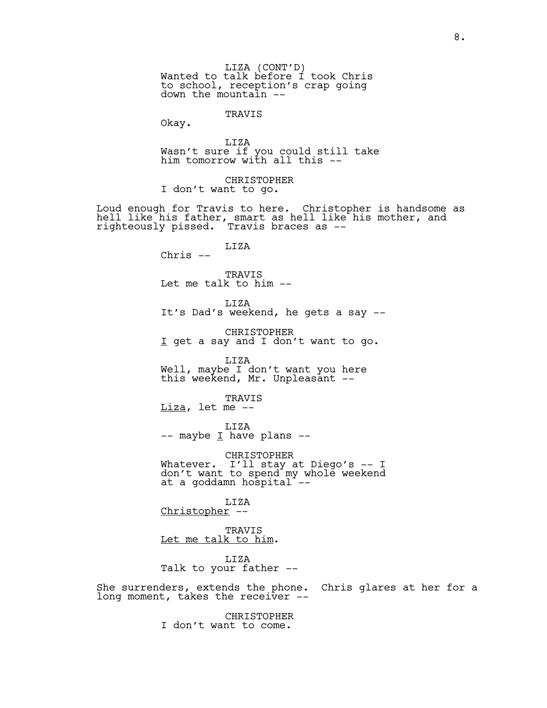TRAVIS

Okay.

LIZA Wasn't sure if you could still take him tomorrow with all this --

CHRISTOPHER I don't want to go.

Loud enough for Travis to here. Christopher is handsome as hell like his father, smart as hell like his mother, and righteously pissed. Travis braces as --

> LIZA Chris --

TRAVIS Let me talk to him --

LIZA It's Dad's weekend, he gets a say --

CHRISTOPHER I get a say and I don't want to go.

LIZA Well, maybe I don't want you here this weekend, Mr. Unpleasant --

TRAVIS  $Liza$ , let me  $-$ 

LIZA  $--$  maybe  $\underline{I}$  have plans  $--$ 

CHRISTOPHER Whatever. I'll stay at Diego's -- I don't want to spend my whole weekend at a goddamn hospital<sup>-</sup>--

LIZA Christopher --

TRAVIS Let me talk to him.

LIZA Talk to your father --

She surrenders, extends the phone. Chris glares at her for a long moment, takes the receiver --

> CHRISTOPHER I don't want to come.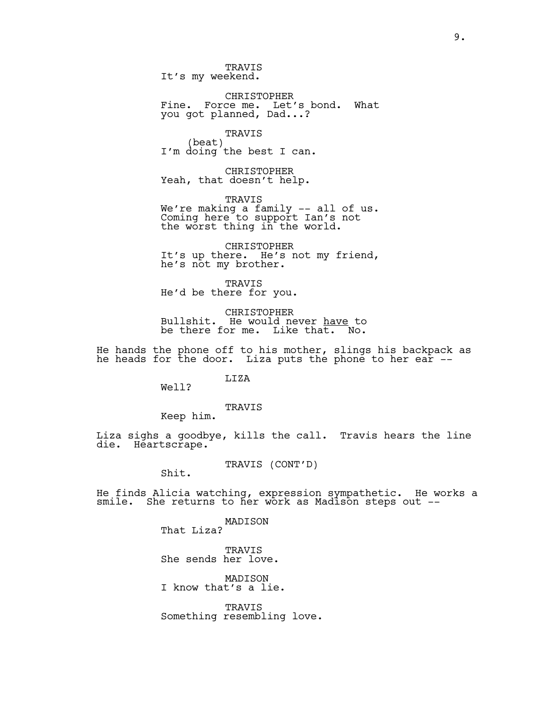TRAVIS It's my weekend.

CHRISTOPHER Fine. Force me. Let's bond. What you got planned, Dad...?

TRAVIS<br>(beat) I'm doing the best I can.

CHRISTOPHER Yeah, that doesn't help.

TRAVIS We're making a family -- all of us. Coming here to support Ian's not the worst thing in the world.

CHRISTOPHER It's up there. He's not my friend, he's not my brother.

TRAVIS He'd be there for you.

CHRISTOPHER Bullshit. He would never <u>have</u> to be there for me. Like that. No.

He hands the phone off to his mother, slings his backpack as he heads for the door. Liza puts the phone to her ear --

LIZA

Well?

TRAVIS

Keep him.

Liza sighs a goodbye, kills the call. Travis hears the line die. Heartscrape.

TRAVIS (CONT'D) Shit.

He finds Alicia watching, expression sympathetic. He works a smile. She returns to her work as Madison steps out --

> MADISON That Liza?

TRAVIS She sends her love.

MADISON I know that's a lie.

TRAVIS Something resembling love.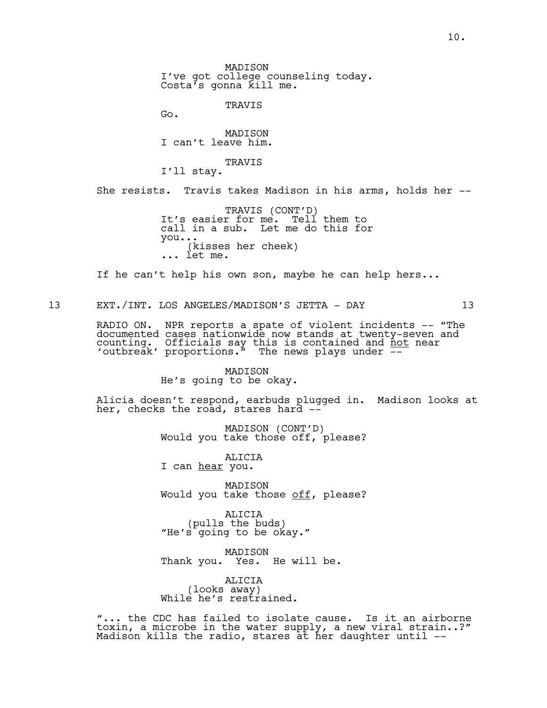MADISON I've got college counseling today. Costa's gonna kill me.

TRAVIS

Go.

MADISON I can't leave him.

TRAVIS I'll stay.

She resists. Travis takes Madison in his arms, holds her --

TRAVIS (CONT'D)<br>It's easier for me. Tell them to call in a sub. Let me do this for you...(kisses her cheek) ... let me.

If he can't help his own son, maybe he can help hers...

13 EXT./INT. LOS ANGELES/MADISON'S JETTA - DAY 13

RADIO ON. NPR reports a spate of violent incidents -- "The documented cases nationwide now stands at twenty-seven and counting. Officials say this is contained and  $\frac{1}{\rho}$  near 'outbreak' proportions. $\frac{1}{r}$  The news plays under  $\frac{1}{r}$ 

> MADISON He's going to be okay.

Alicia doesn't respond, earbuds plugged in. Madison looks at her, checks the road, stares hard --

MADISON (CONT'D) Would you take those off, please?

ALICIA I can hear you.

MADISON Would you take those off, please?

ALICIA<br>(pulls the buds) "He's going to be okay."

MADISON Thank you. Yes. He will be.

ALICIA (looks away) While he's restrained.

"... the CDC has failed to isolate cause. Is it an airborne toxin, a microbe in the water supply, a new viral strain..?" Madison kills the radio, stares at her daughter until --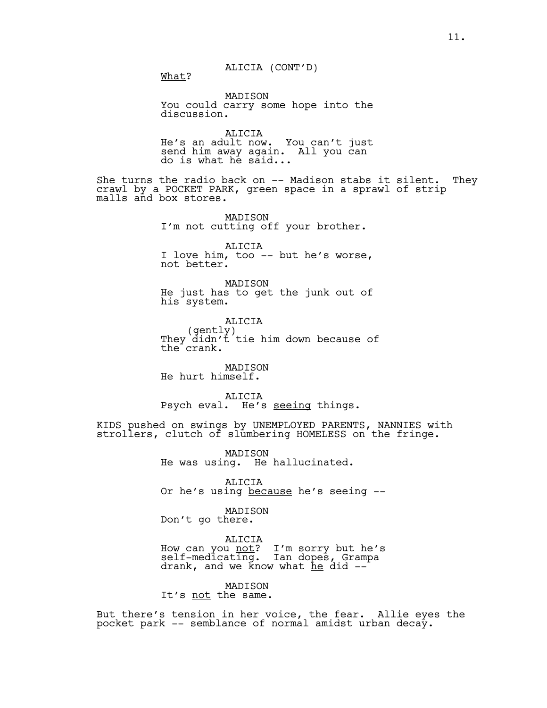ALICIA (CONT'D) What?

MADISON You could carry some hope into the discussion.

ALICIA He's an adult now. You can't just send him away again. All you can do is what he said...

She turns the radio back on -- Madison stabs it silent. They crawl by a POCKET PARK, green space in a sprawl of strip malls and box stores.

> MADISON I'm not cutting off your brother.

ALICIA I love him, too -- but he's worse, not better.

MADISON He just has to get the junk out of his system.

ALICIA<br>(gently) They didn't tie him down because of the crank.

MADISON He hurt himself.

ALICIA Psych eval. He's seeing things.

KIDS pushed on swings by UNEMPLOYED PARENTS, NANNIES with strollers, clutch of slumbering HOMELESS on the fringe.

> MADISON He was using. He hallucinated.

ALICIA Or he's using because he's seeing --

MADISON Don't go there.

ALICIA How can you <u>not</u>? I'm sorry but he's<br>self-medicating. Ian dopes, Grampa drank, and we know what he did --<sup>-</sup>

MADISON It's not the same.

But there's tension in her voice, the fear. Allie eyes the pocket park -- semblance of normal amidst urban decay.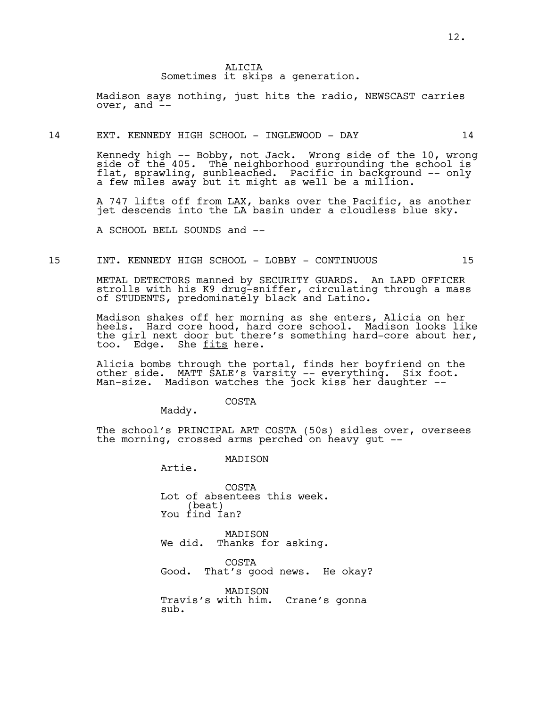Madison says nothing, just hits the radio, NEWSCAST carries over, and  $\overline{-}$ 

#### 14 EXT. KENNEDY HIGH SCHOOL - INGLEWOOD - DAY 14

Kennedy high -- Bobby, not Jack. Wrong side of the 10, wrong side of the 405. The neighborhood surrounding the school is<br>flat, sprawling, sunbleached. Pacific in background -- only a few miles away but it might as well be a million.

A 747 lifts off from LAX, banks over the Pacific, as another jet descends into the LA basin under a cloudless blue sky.

A SCHOOL BELL SOUNDS and --

# 15 INT. KENNEDY HIGH SCHOOL - LOBBY - CONTINUOUS 15

METAL DETECTORS manned by SECURITY GUARDS. An LAPD OFFICER strolls with his K9 drug-sniffer, circulating through a mass of STUDENTS, predominately black and Latino.

Madison shakes off her morning as she enters, Alicia on her heels. Hard core hood, hard core school. Madison looks like the girl next door but there's something hard-core about her, too. Edge. She <u>fits</u> here.

Alicia bombs through the portal, finds her boyfriend on the other side. MATT SALE's varsity -- everything. Six foot. Man-size. Madison watches the jock kiss her daughter --

Maddy.

The school's PRINCIPAL ART COSTA (50s) sidles over, oversees the morning, crossed arms perched on heavy gut --

> MADISON Artie.

COSTA Lot of absentees this week. (beat) You find Ian?

COSTA

MADISON We did. Thanks for asking.

COSTA Good. That's good news. He okay?

MADISON Travis's with him. Crane's gonna sub.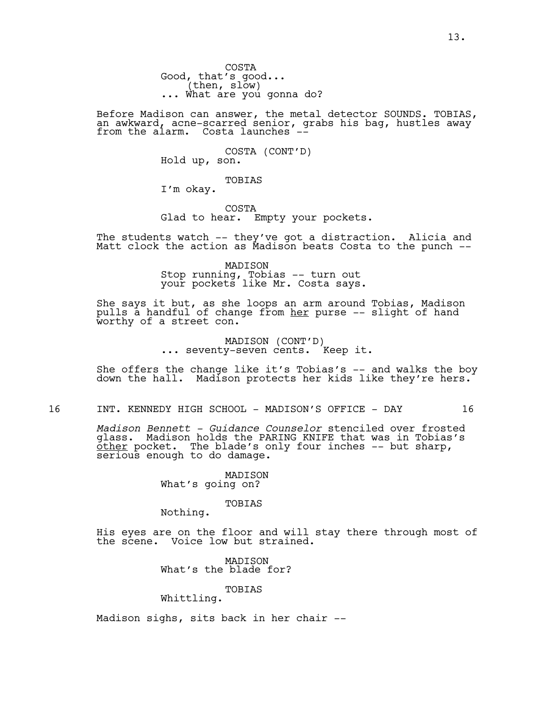COSTA Good, that's good...<br>(then, slow) ... What are you gonna do?

Before Madison can answer, the metal detector SOUNDS. TOBIAS, an awkward, acne-scarred senior, grabs his bag, hustles away $^{'}\,$ from the alarm. Costa launches --

COSTA (CONT'D)<br>Hold up, son.

TOBIAS I'm okay.

COSTA Glad to hear. Empty your pockets.

The students watch -- they've got a distraction. Alicia and Matt clock the action as Madison beats Costa to the punch --

> MADISON Stop running, Tobias -- turn out your pockets like Mr. Costa says.

She says it but, as she loops an arm around Tobias, Madison pulls a handful of change from <u>her</u> purse -- slight of hand worthy of a street con.

MADISON (CONT'D)<br>... seventy-seven cents. Keep it.

She offers the change like it's Tobias's -- and walks the boy down the hall. Madison protects her kids like they're hers.

16 INT. KENNEDY HIGH SCHOOL - MADISON'S OFFICE - DAY 16

*Madison Bennett - Guidance Counselor* stenciled over frosted glass. Madison holds the PARING KNIFE that was in Tobias's other pocket. The blade's only four inches -- but sharp, serious enough to do damage.

> MADISON What's going on?

> > TOBIAS

Nothing.

His eyes are on the floor and will stay there through most of the scene. Voice low but strained.

> MADISON What's the blade for?

TOBIAS Whittling.

Madison sighs, sits back in her chair --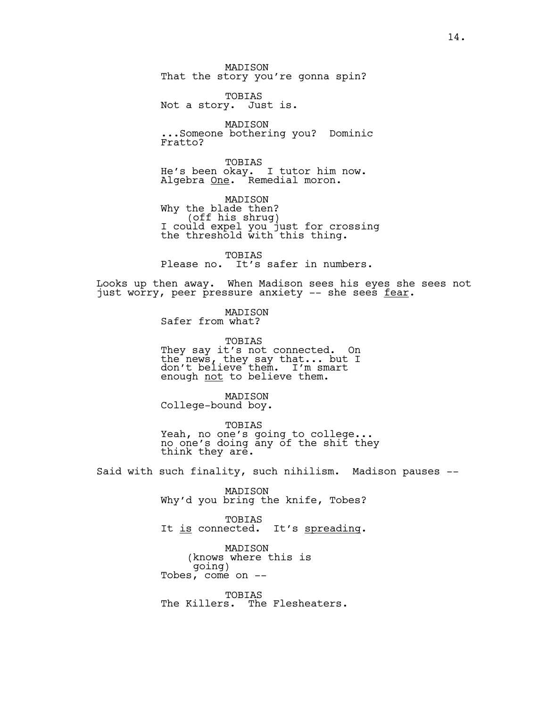MADISON That the story you're gonna spin?

TOBIAS Not a story. Just is.

MADISON ...Someone bothering you? Dominic Fratto?

TOBIAS He's been okay. I tutor him now. Algebra One. Remedial moron.

MADISON<br>Why the blade then? Why the blade then?<br>(off his shrug)<br>I could expel you just for crossing the threshold with this thing.

TOBIAS Please no. It's safer in numbers.

Looks up then away. When Madison sees his eyes she sees not just worry, peer pressure anxiety -- she sees fear.

> MADISON Safer from what?

TOBIAS They say it's not connected. On the news, they say that... but I don't believe them. I'm smart enough not to believe them.

MADISON College-bound boy.

TOBIAS Yeah, no one's going to college... no one's doing any of the shit they think they are.

Said with such finality, such nihilism. Madison pauses --

MADISON Why'd you bring the knife, Tobes?

TOBIAS It is connected. It's spreading.

MADISON (knows where this is<br>going) Tobes, come on  $-$ 

TOBIAS The Killers. The Flesheaters.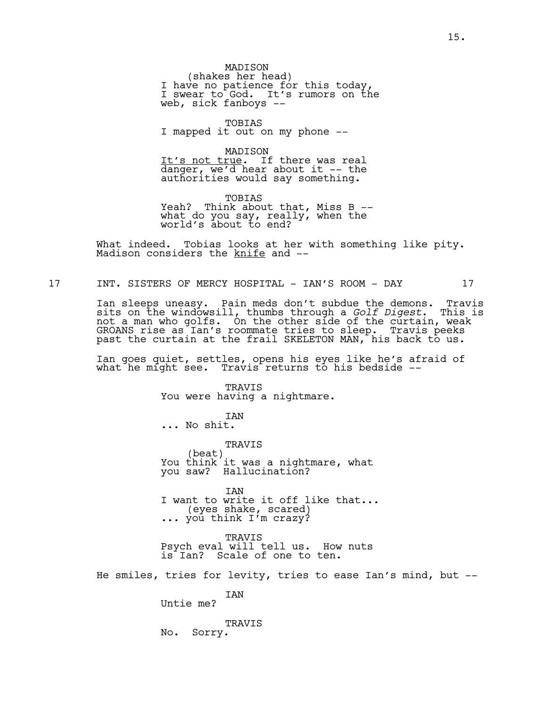MADISON<br>(shakes her head) (shakes her head)<br>I have no patience for this today, I swear to God. It's rumors on the web, sick fanboys --

TOBIAS I mapped it out on my phone --

MADISON It's not true. If there was real danger, we'd hear about it -- the authorities would say something.

TOBIAS Yeah? Think about that, Miss B -what do you say, really, when the world's about to end?

What indeed. Tobias looks at her with something like pity. Madison considers the knife and --

17 INT. SISTERS OF MERCY HOSPITAL - IAN'S ROOM - DAY 17

Ian sleeps uneasy. Pain meds don't subdue the demons. Travis sits on the windowsill, thumbs through a *Golf Digest*. This is not a man who golfs. On the other side of the curtain, weak GROANS rise as Ian's roommate tries to sleep. Travis peeks past the curtain at the frail SKELETON MAN, his back to us.

Ian goes quiet, settles, opens his eyes like he's afraid of what he might see. Travis returns to his bedside --

> TRAVIS You were having a nightmare.

**TAN** ... No shit.

TRAVIS<br>(beat) (beat) You think it was a nightmare, what you saw? Hallucination?

IAN I want to write it off like that... (eyes shake, scared)<br>you think I'm crazy?

TRAVIS Psych eval will tell us. How nuts is Ian? Scale of one to ten.

He smiles, tries for levity, tries to ease Ian's mind, but --

IAN Untie me?

TRAVIS No. Sorry.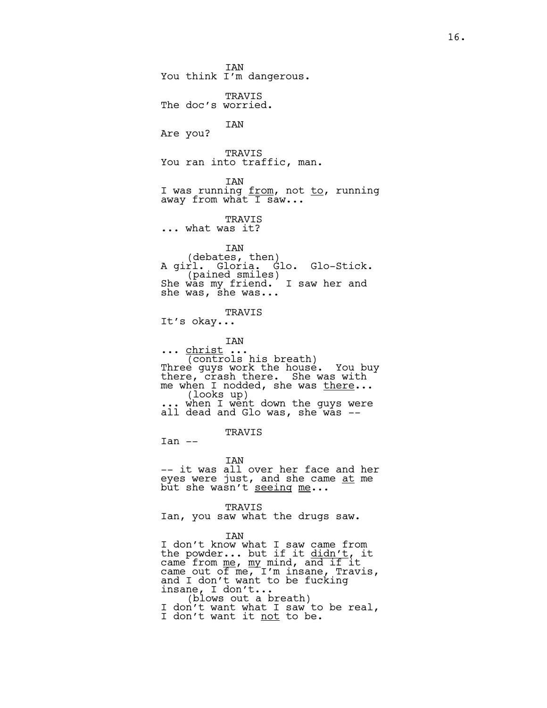IAN You think I'm dangerous. TRAVIS The doc's worried. IAN Are you? TRAVIS You ran into traffic, man. IAN I was running from, not to, running away from what  $\overline{1}$  saw... TRAVIS ... what was it? IAN<br>(debates, then) A girl. Gloria. Glo. Glo-Stick.<br>(pained smiles)<br>She was my friend. I saw her and she was, she was... TRAVIS It's okay... IAN ... <u>christ</u> ...<br>(controls his breath) (controls his breath)<br>Three guys work the house. You buy there, crash there. She was with me when I nodded, she was <u>there</u>...<br>(looks up)<br>... when I went down the guys were ... when I went down the guys were<br>all dead and Glo was, she was --TRAVIS  $Tan$   $--$ IAN -- it was all over her face and her eyes were just, and she came at me but she wasn't seeing me... TRAVIS Ian, you saw what the drugs saw. IAN I don't know what I saw came from the powder... but if it didn't, it came from <u>me</u>, <u>my</u> mind, and if it came out of me, I'm insane, Travis, and I don't want to be fucking insane, I don't... (blows out a breath) I don't want what I saw to be real,

I don't want it not to be.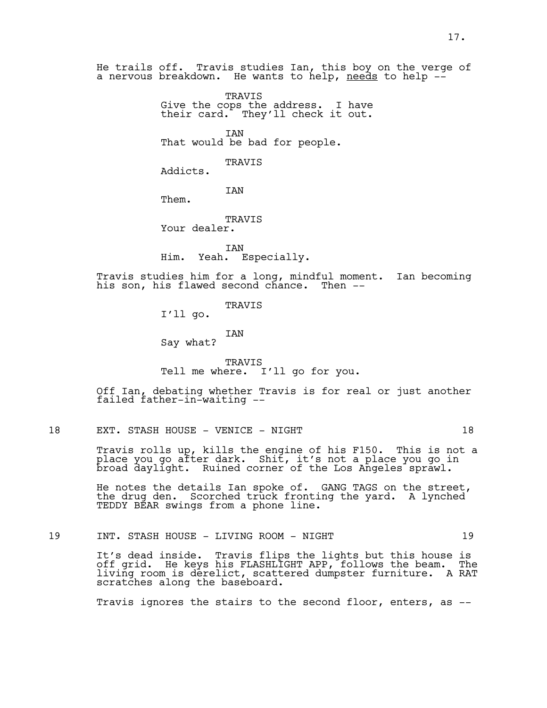He trails off. Travis studies Ian, this boy on the verge of a nervous breakdown. He wants to help, needs to help --

> TRAVIS Give the cops the address. I have their card. They'll check it out.

IAN That would be bad for people.

TRAVIS

Addicts.

IAN

Them.

TRAVIS Your dealer.

IAN Him. Yeah. Especially.

Travis studies him for a long, mindful moment. Ian becoming his son, his flawed second chance. Then --

TRAVIS

I'll go.

IAN

Say what?

TRAVIS Tell me where. I'll go for you.

Off Ian, debating whether Travis is for real or just another failed father-in-waiting --

18 EXT. STASH HOUSE - VENICE - NIGHT 18

Travis rolls up, kills the engine of his F150. This is not a place you go after dark. Shit, it's not a place you go in  $\,$  broad d̄aylı́ght.  $\,$  Ruined corner $\,$  of the Los An<code>geles</code> <code>sprawl.</code>

He notes the details Ian spoke of. GANG TAGS on the street, the drug den. Scorched truck fronting the yard. A lynched TEDDY BEAR swings from a phone line.

19 INT. STASH HOUSE - LIVING ROOM - NIGHT 19

It's dead inside. Travis flips the lights but this house is<br>off grid. He keys his FLASHLIGHT APP, follows the beam. The off grid. He keys his FLASHLIGHT APP, follows the beam. living room is derelict, scattered dumpster furniture. A RAT scratches along the baseboard.

Travis ignores the stairs to the second floor, enters, as --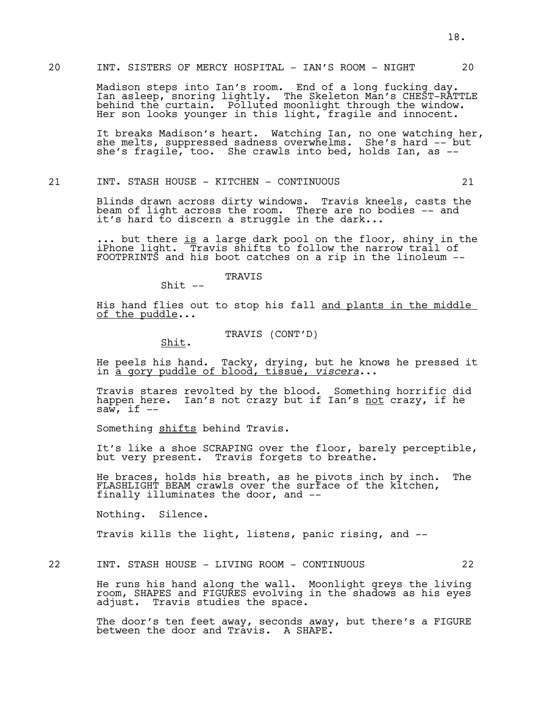## 20 INT. SISTERS OF MERCY HOSPITAL - IAN'S ROOM - NIGHT 20

Madison steps into Ian's room. End of a long fucking day. Ian asleep, snoring lightly. The Skeleton Man's CHEST-RATTLE behind the curtain. Polluted moonlight through the window. Her son looks younger in this light, fragile and innocent.

It breaks Madison's heart. Watching Ian, no one watching her, she melts, suppressed sadness overwhelms. She's hard -- but she's fragile, too. She crawls into bed, holds Ian, as --

# 21 INT. STASH HOUSE - KITCHEN - CONTINUOUS 21

Blinds drawn across dirty windows. Travis kneels, casts the beam of light across the room. There are no bodies -- and it's hard to discern a struggle in the dark...

... but there is a large dark pool on the floor, shiny in the iPhone light. Travis shifts to follow the narrow trail of FOOTPRINTS and his boot catches on a rip in the linoleum --

TRAVIS

His hand flies out to stop his fall and plants in the middle of the puddle...

# TRAVIS (CONT'D) Shit.

 $Shift --$ 

He peels his hand. Tacky, drying, but he knows he pressed it in a gory puddle of blood, tissue, *viscera*...

Travis stares revolted by the blood. Something horrific did happen here. Ian's not crazy but if Ian's <u>not</u> crazy, if he<br>saw, if --

Something shifts behind Travis.

It's like a shoe SCRAPING over the floor, barely perceptible, but very present. Travis forgets to breathe.

He braces, holds his breath, as he pivots inch by inch. The FLASHLIGHT BEAM crawls over the surface of the kitchen, finally illuminates the door, and --

Nothing. Silence.

Travis kills the light, listens, panic rising, and --

22 INT. STASH HOUSE - LIVING ROOM - CONTINUOUS 22

He runs his hand along the wall. Moonlight greys the living room, SHAPES and FIGURES evolving in the shadows as his eyes adjust. Travis studies the space.

The door's ten feet away, seconds away, but there's a FIGURE between the door and  $Tr\overline{a}v$  is. A SHAPE.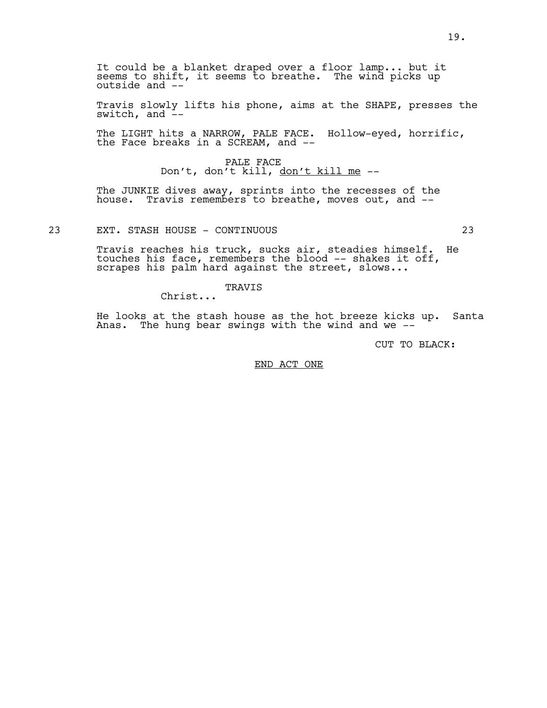It could be a blanket draped over a floor lamp... but it seems to shift, it seems to breathe. The wind picks up outside and --

Travis slowly lifts his phone, aims at the SHAPE, presses the switch, and  $\frac{1}{x}$ -

The LIGHT hits a NARROW, PALE FACE. Hollow-eyed, horrific, the Face breaks in a SCREAM, and --

> PALE FACE Don't, don't kill, don't kill me --

The JUNKIE dives away, sprints into the recesses of the house. Travis remembers to breathe, moves out, and --

# 23 EXT. STASH HOUSE - CONTINUOUS 23

Travis reaches his truck, sucks air, steadies himself. He touches his face, remembers the blood -- shakes it off, scrapes his palm hard against the street, slows...

TRAVIS

Christ...

He looks at the stash house as the hot breeze kicks up. Santa Anas. The hung bear swings with the wind and we --

CUT TO BLACK:

END ACT ONE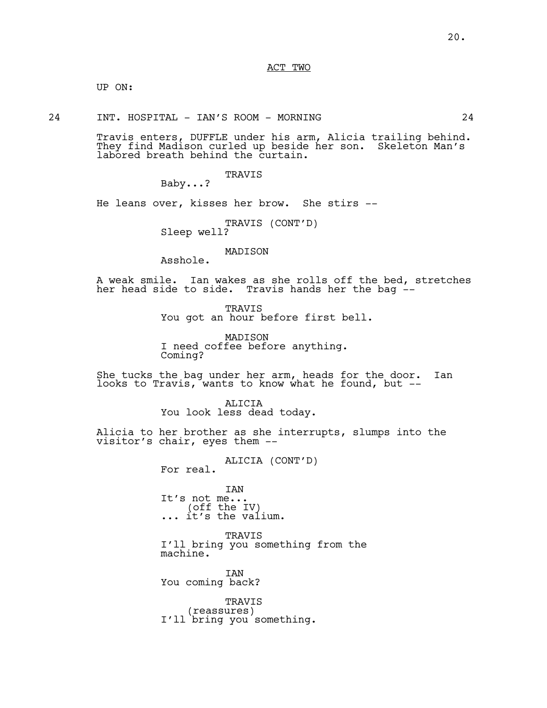ACT TWO

UP ON:

24 INT. HOSPITAL - IAN'S ROOM - MORNING 24

Travis enters, DUFFLE under his arm, Alicia trailing behind. They find Madison curled up beside her son. Skeleton Man's labored breath behind the curtain.

TRAVIS

Baby...?

He leans over, kisses her brow. She stirs --

TRAVIS (CONT'D)<br>Sleep well?

MADISON

Asshole.

A weak smile. Ian wakes as she rolls off the bed, stretches her head side to side. Travis hands her the bag --

> TRAVIS You got an hour before first bell.

MADISON I need coffee before anything. Coming?

She tucks the bag under her arm, heads for the door. Ian looks to Travis, wants to know what he found, but --

> ALICIA You look less dead today.

Alicia to her brother as she interrupts, slumps into the visitor's chair, eyes them --

ALICIA (CONT'D)<br>For real.

IAN It's not me...<br>(off the IV)  $\ldots$  it's the valium.

TRAVIS I'll bring you something from the machine.

IAN You coming back?

TRAVIS<br>(reassures) I'll bring you something.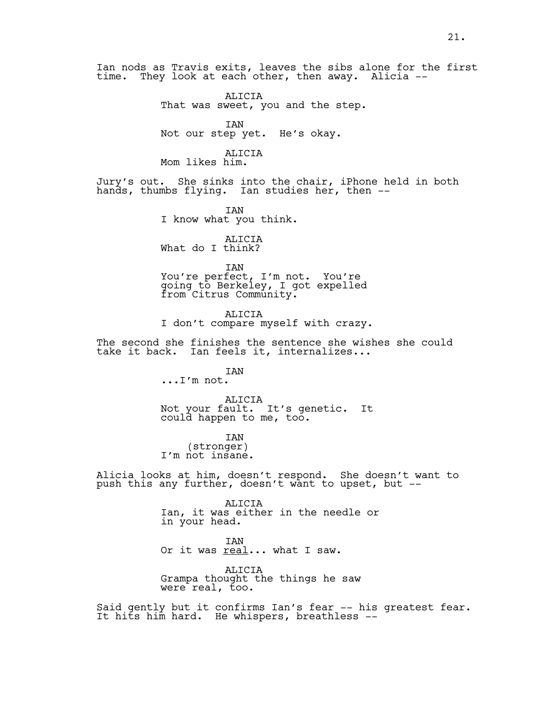Ian nods as Travis exits, leaves the sibs alone for the first time. They look at each other, then away. Alicia --

> ALICIA That was sweet, you and the step.

IAN Not our step yet. He's okay.

ALICIA Mom likes him.

Jury's out. She sinks into the chair, iPhone held in both hands, thumbs flying. Ian studies her, then --

> IAN I know what you think.

ALICIA What do I think?

IAN

You're perfect, I'm not. You're going to Berkeley, I got expelled from Citrus Community.

ALICIA I don't compare myself with crazy.

The second she finishes the sentence she wishes she could take it back. Ian feels it, internalizes...

> IAN ...I'm not.

ALICIA Not your fault. It's genetic. It could happen to me, too.

IAN (stronger) I'm not insane.

Alicia looks at him, doesn't respond. She doesn't want to push this any further, doesn't want to upset, but --

> ALICIA Ian, it was either in the needle or in your head.

IAN Or it was real... what I saw.

ALICIA Grampa thought the things he saw were real, too.

Said gently but it confirms Ian's fear -- his greatest fear. It hits him hard. He whispers, breathless --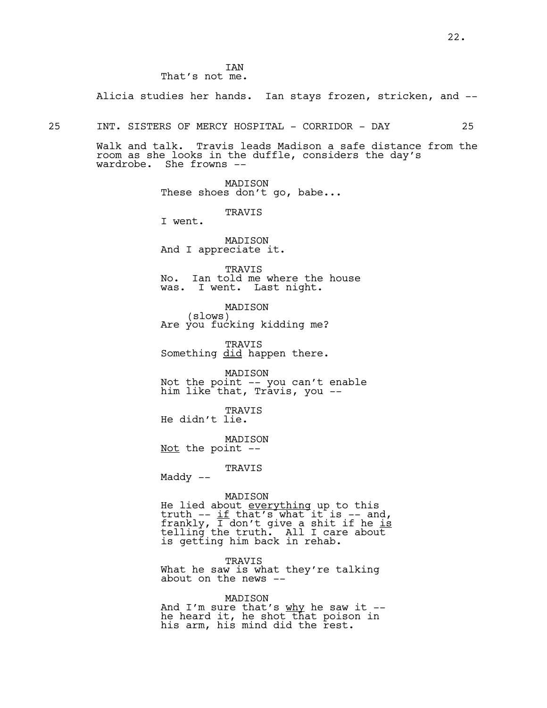Alicia studies her hands. Ian stays frozen, stricken, and --

25 INT. SISTERS OF MERCY HOSPITAL - CORRIDOR - DAY 25

Walk and talk. Travis leads Madison a safe distance from the room as she looks in the duffle, considers the day's wardrobe. She frowns --

> MADISON These shoes don't go, babe...

> > TRAVIS

I went.

MADISON And I appreciate it.

TRAVIS No. Ian told me where the house was. I went. Last night.

MADISON<br>(slows) Are you fucking kidding me?

TRAVIS Something did happen there.

MADISON Not the point -- you can't enable him like that, Travis, you --

TRAVIS He didn't lie.

MADISON Not the point --

TRAVIS

Maddy --

#### MADISON

He lied about <u>everything</u> up to this truth  $-$  if that's what it is  $-$  and, frankly, I don't give a shit if he is telling the truth. All I care about is getting him back in rehab.

TRAVIS

What he saw is what they're talking about on the news --

MADISON

And I'm sure that's why he saw it -he heard it, he shot that poison in his arm, his mind did the rest.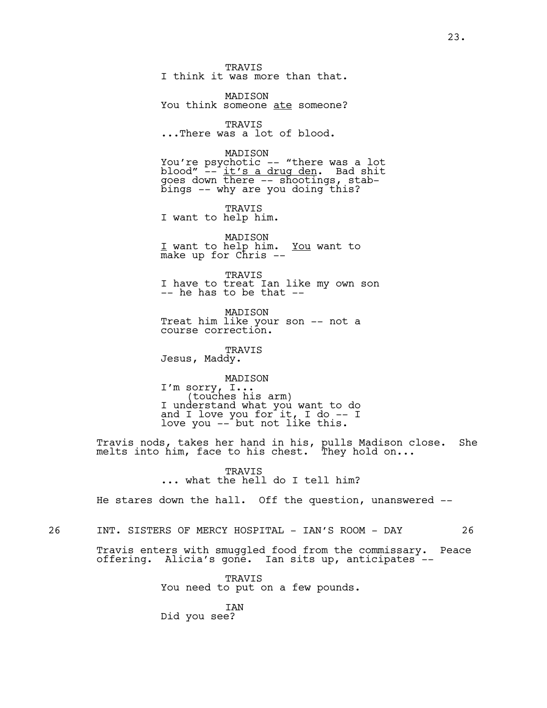TRAVIS I think it was more than that.

MADISON You think someone ate someone?

TRAVIS ...There was a lot of blood.

MADISON

You're psychotic -- "there was a lot blood" -- <u>it's a drug den</u>. Bad shit goes down there -- shootings, stabbings -- why are you doing this?

TRAVIS I want to help him.

MADISON I want to help him. You want to make up for Chris --

TRAVIS I have to treat Ian like my own son -- he has to be that --

MADISON Treat him like your son -- not a course correction.

TRAVIS

Jesus, Maddy.

MADISON I'm sorry, I...<br>(touches his arm)<br>I understand what you want to do and I love you for it, I do -- I love you -- but not like this.

Travis nods, takes her hand in his, pulls Madison close. She melts into him, face to his chest. They hold on...

> TRAVIS ... what the hell do I tell him?

He stares down the hall. Off the question, unanswered --

26 INT. SISTERS OF MERCY HOSPITAL - IAN'S ROOM - DAY 26

Travis enters with smuggled food from the commissary. Peace offering. Alicia's gone. Ian sits up, anticipates<sup>-</sup>--

> **TRAVIS** You need to put on a few pounds.

IAN Did you see?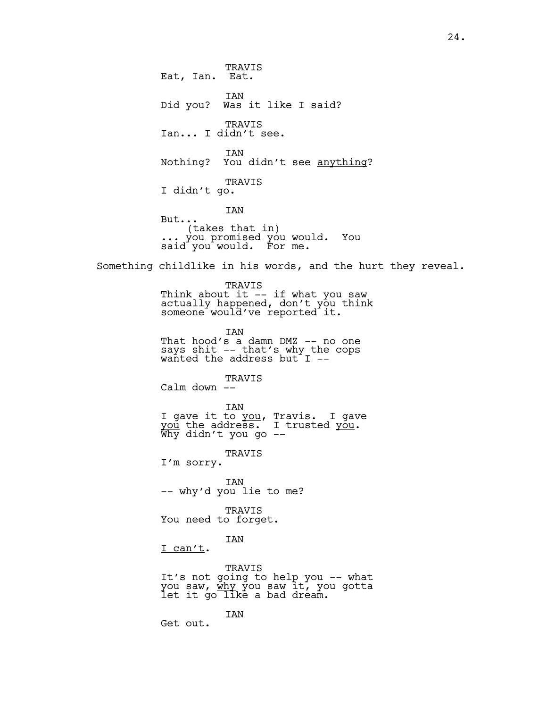TRAVIS Eat, Ian. Eat. IAN Did you? Was it like I said? TRAVIS Ian... I didn't see. IAN Nothing? You didn't see anything? TRAVIS I didn't go. IAN But...<br>(takes that in) (takes that in) ... you promised you would. You said you would. For me. Something childlike in his words, and the hurt they reveal. TRAVIS Think about it -- if what you saw actually happened, don't you think someone would've reported it. IAN That hood's a damn DMZ -- no one says shit -- that's why the cops wanted the address but  $I$  --TRAVIS Calm down -- IAN I gave it to you, Travis. I gave you the address. I trusted you.<br>Why didn't you go --TRAVIS I'm sorry. IAN -- why'd you lie to me? TRAVIS You need to forget. IAN I can't. TRAVIS It's not going to help you -- what you saw, <u>why</u> you saw it, you gotta<br>let it go like a bad dream. IAN Get out.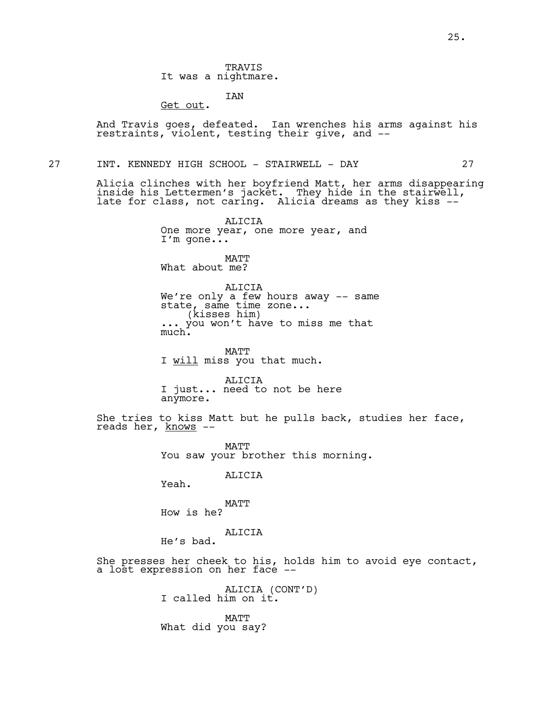TRAVIS It was a nightmare.

IAN

Get out.

And Travis goes, defeated. Ian wrenches his arms against his restraints, violent, testing their give, and --

27 INT. KENNEDY HIGH SCHOOL - STAIRWELL - DAY 27

Alicia clinches with her boyfriend Matt, her arms disappearing inside his Lettermen's jacket. They hide in the stairwell, late for class, not caring. Alicia dreams as they kiss --

> ALICIA One more year, one more year, and I'm gone...

MATT What about me?

ALICIA We're only a few hours away -- same state, same time zone... (kisses him) ... you won't have to miss me that ... you won't have to miss me that<br>much.

MATT I will miss you that much.

ALICIA I just... need to not be here anymore.

She tries to kiss Matt but he pulls back, studies her face, reads her, knows --

> MATT You saw your brother this morning.

> > ALICIA

Yeah.

MATT How is he?

ALICIA He's bad.

She presses her cheek to his, holds him to avoid eye contact, a lost expression on her face --

> ALICIA (CONT'D)<br>I called him on it. MATT What did you say?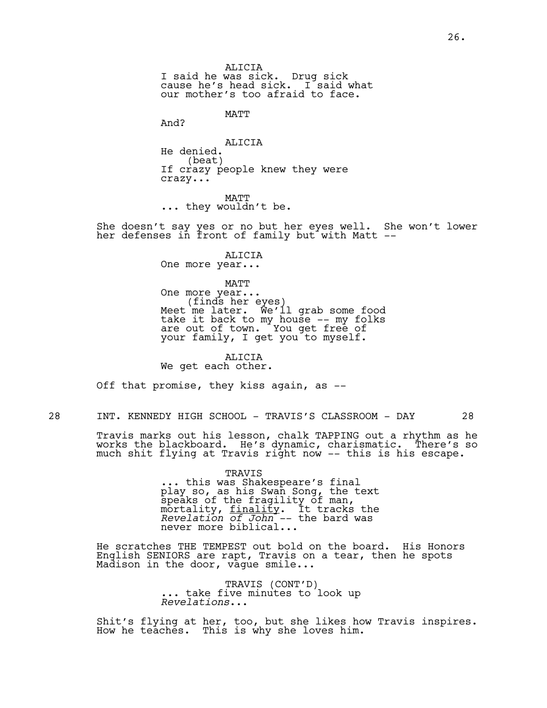ALICIA I said he was sick. Drug sick cause he's head sick. I said what our mother's too afraid to face.

MATT

And?

ALICIA He denied.<br>(beat) If crazy people knew they were crazy...

MATT ... they wouldn't be.

She doesn't say yes or no but her eyes well. She won't lower her defenses in front of family but with Matt --

ALICIA

One more year...

MATT<br>One more year... One more year...<br>(finds her eyes)<br>Meet me later. We'll grab some food take it back to my house -- my folks are out of town. You get free of your family, I get you to myself.

ALICIA We get each other.

Off that promise, they kiss again, as --

28 INT. KENNEDY HIGH SCHOOL - TRAVIS'S CLASSROOM - DAY 28

Travis marks out his lesson, chalk TAPPING out a rhythm as he works the blackboard. He's dynamic, charismatic. There's so much shit flying at Travis right now -- this is his escape.

> TRAVIS<br>... this was Shakespeare's final. ... this was Shakespeare's final play so, as his Swan Song, the text speaks of the fragility of man, mortality, <u>finality</u>. İt tracks the *Revelation of John* -- the bard was never more biblical...

He scratches THE TEMPEST out bold on the board. His Honors English SENIORS are rapt, Travis on a tear, then he spots Madison in the door, vague smile...

> TRAVIS (CONT'D)<br>... take five minutes to look up. *Revelations*...

Shit's flying at her, too, but she likes how Travis inspires. How he teaches. This is why she loves him.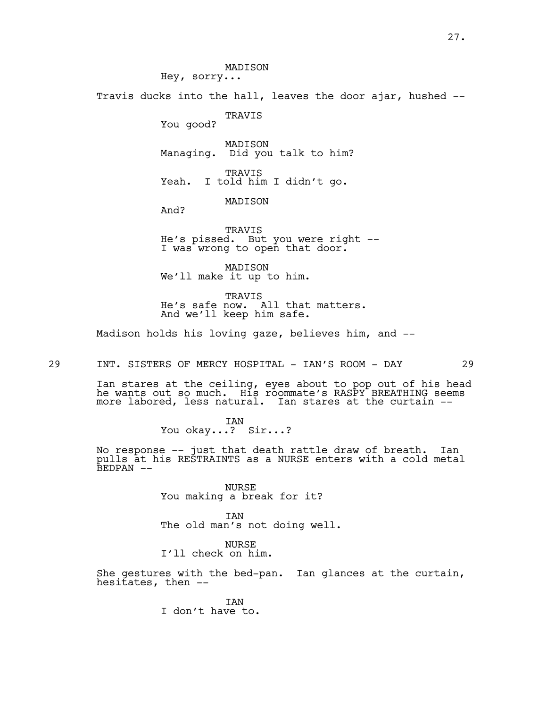MADISON Hey, sorry... Travis ducks into the hall, leaves the door ajar, hushed -- TRAVIS You good? MADISON Managing. Did you talk to him? TRAVIS Yeah. I told him I didn't go. MADISON And? TRAVIS He's pissed. But you were right -- I was wrong to open that door. MADISON We'll make it up to him. TRAVIS

He's safe now. All that matters. And we'll keep him safe.

Madison holds his loving gaze, believes him, and --

29 INT. SISTERS OF MERCY HOSPITAL - IAN'S ROOM - DAY 29

Ian stares at the ceiling, eyes about to pop out of his head he wants out so much. His roommate's RASPY BREATHING seems more labored, less natural. Ian stares at the curtain --

> IAN You okay...? Sir...?

No response -- just that death rattle draw of breath. Ian pulls at his RESTRAINTS as a NURSE enters with a cold metal BEDPAN --

> NURSE You making a break for it?

IAN The old man's not doing well.

NURSE I'll check on him.

She gestures with the bed-pan. Ian glances at the curtain, hesitates, then  $-$ 

> IAN I don't have to.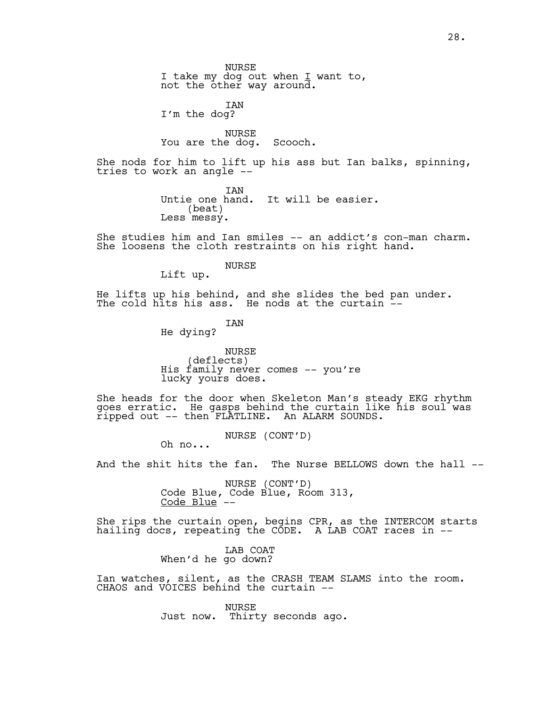NURSE I take my dog out when I want to, not the other way around.

IAN I'm the dog?

NURSE You are the dog. Scooch.

She nods for him to lift up his ass but Ian balks, spinning, tries to work an angle --

> IAN Untie one hand. It will be easier. (beat) Less messy.

She studies him and Ian smiles -- an addict's con-man charm. She loosens the cloth restraints on his right hand.

> NURSE Lift up.

He lifts up his behind, and she slides the bed pan under. The cold hits his ass. He nods at the curtain --

IAN

He dying?

NURSE<br>(deflects) His family never comes -- you're lucky yours does.

She heads for the door when Skeleton Man's steady EKG rhythm goes erratic. He gasps behind the curtain like his soul was ripped out -- then FLATLINE. An ALARM SOUNDS.

NURSE (CONT'D)<br>Oh no...

And the shit hits the fan. The Nurse BELLOWS down the hall --

NURSE (CONT'D)<br>Code Blue, Code Blue, Room 313, Code  $Blue' --$ 

She rips the curtain open, begins CPR, as the INTERCOM starts hailing docs, repeating the CODE. A LAB COAT races in --

> LAB COAT When'd he go down?

Ian watches, silent, as the CRASH TEAM SLAMS into the room. CHAOS and VOICES behind the curtain --

> NURSE Just now. Thirty seconds ago.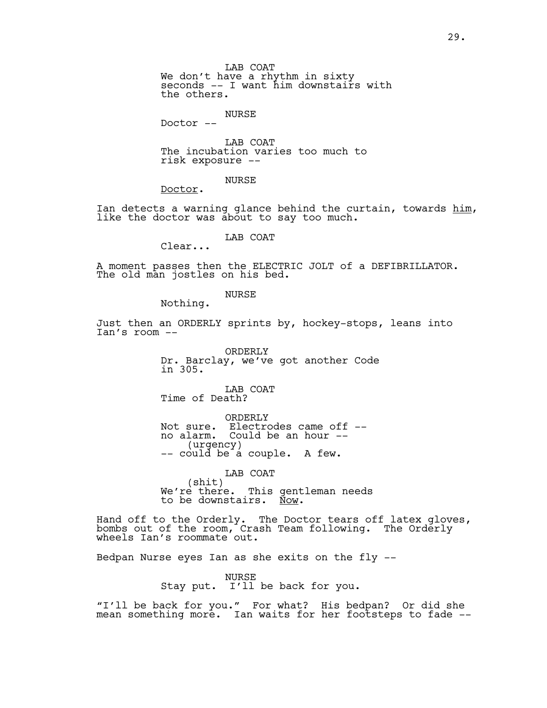We don't have a rhythm in sixty seconds -- I want him downstairs with the others.

NURSE

Doctor --

LAB COAT The incubation varies too much to risk exposure --

NURSE

Doctor.

Ian detects a warning glance behind the curtain, towards him,<br>like the doctor was about to say too much.

LAB COAT

Clear...

A moment passes then the ELECTRIC JOLT of a DEFIBRILLATOR. The old man jostles on his bed.

NURSE

Nothing.

Just then an ORDERLY sprints by, hockey-stops, leans into Ian's room --

> ORDERLY Dr. Barclay, we've got another Code in 305.

LAB COAT Time of Death?

ORDERLY Not sure. Electrodes came off - no alarm. Could be an hour -- (urgency) -- could be a couple. A few.

LAB COAT (shit) We're there. This gentleman needs to be downstairs. Now.

Hand off to the Orderly. The Doctor tears off latex gloves, bombs out of the room, Crash Team following. The Orderly wheels Ian's roommate out.

Bedpan Nurse eyes Ian as she exits on the fly --

NURSE Stay put. I'll be back for you.

"I'll be back for you." For what? His bedpan? Or did she mean something more. Ian waits for her footsteps to fade --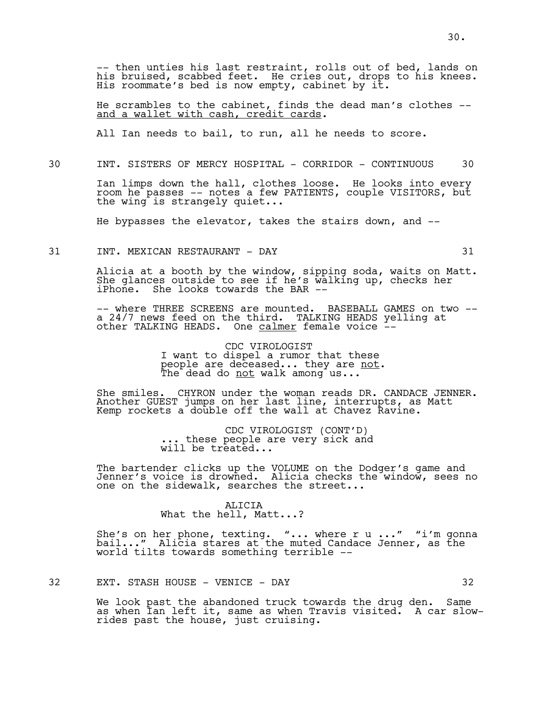-- then unties his last restraint, rolls out of bed, lands on his bruised, scabbed feet. He cries out, drops to his knees. His roommate's bed is now empty, cabinet by it.

He scrambles to the cabinet, finds the dead man's clothes - and a wallet with cash, credit cards.

All Ian needs to bail, to run, all he needs to score.

30 INT. SISTERS OF MERCY HOSPITAL - CORRIDOR - CONTINUOUS 30

Ian limps down the hall, clothes loose. He looks into every room he passes -- notes a few PATIENTS, couple VISITORS, but the wing is strangely quiet...

He bypasses the elevator, takes the stairs down, and --

31 INT. MEXICAN RESTAURANT - DAY 31

Alicia at a booth by the window, sipping soda, waits on Matt. She glances outside to see if he's walking up, checks her iPhone. She looks towards the BAR --

-- where THREE SCREENS are mounted. BASEBALL GAMES on two -a 24/7 news feed on the third. TALKING HEADS yelling at other TALKING HEADS. One calmer female voice --

> CDC VIROLOGIST I want to dispel a rumor that these people are deceased... they are not.<br>The dead do not walk among us...

She smiles. CHYRON under the woman reads DR. CANDACE JENNER. Another GUEST jumps on her last line, interrupts, as Matt Kemp rockets a double off the wall at Chavez Ravine.

> CDC VIROLOGIST (CONT'D) ... these people are very sick and will be treated...

The bartender clicks up the VOLUME on the Dodger's game and Jenner's voice is drowned. Alicia checks the window, sees no one on the sidewalk, searches the street...

> ALICIA What the hell, Matt...?

She's on her phone, texting. "... where r u ..." "i'm gonna bail..." Alicia stares at the muted Candace Jenner, as the world tilts towards something terrible --

32 EXT. STASH HOUSE - VENICE - DAY 32

We look past the abandoned truck towards the drug den. Same as when Ian left it, same as when Travis visited. A car slowrides past the house, just cruising.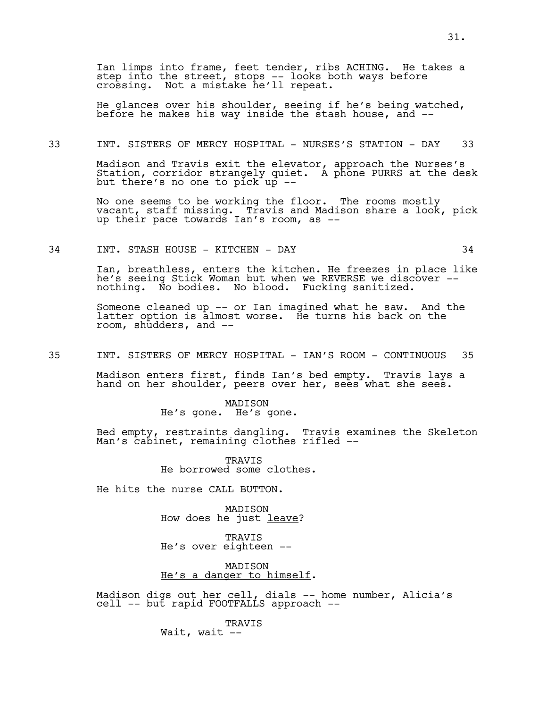Ian limps into frame, feet tender, ribs ACHING. He takes a step into the street, stops -- looks both ways before crossing. Not a mistake he'll repeat.

He glances over his shoulder, seeing if he's being watched, before he makes his way inside the stash house, and --

#### 33 INT. SISTERS OF MERCY HOSPITAL - NURSES'S STATION - DAY 33

Madison and Travis exit the elevator, approach the Nurses's Station, corridor strangely quiet. A phone PURRS at the desk but there's no one to pick up --

No one seems to be working the floor. The rooms mostly vacant, staff missing. Travis and Madison share a look, pick up their pace towards Ian's room, as --

# 34 INT. STASH HOUSE - KITCHEN - DAY 34

Ian, breathless, enters the kitchen. He freezes in place like he's seeing Stick Woman but when we REVERSE we discover - nothing. No bodies. No blood. Fucking sanitized.

Someone cleaned up -- or Ian imagined what he saw. And the latter option is almost worse. He turns his back on the room, shudders, and --

35 INT. SISTERS OF MERCY HOSPITAL - IAN'S ROOM - CONTINUOUS 35

Madison enters first, finds Ian's bed empty. Travis lays a hand on her shoulder, peers over her, sees what she sees.

> MADISON He's gone. He's gone.

Bed empty, restraints dangling. Travis examines the Skeleton Man's cabinet, remaining clothes rifled --

> **TRAVIS** He borrowed some clothes.

He hits the nurse CALL BUTTON.

MADISON How does he just leave?

TRAVIS He's over eighteen --

MADISON He's a danger to himself.

Madison digs out her cell, dials -- home number, Alicia's cell -- but rapid FOOTFALLS approach --

> TRAVIS Wait, wait --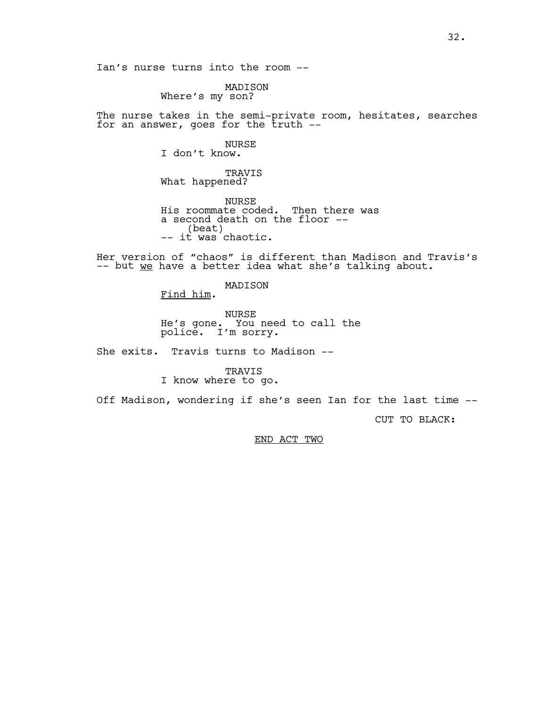Ian's nurse turns into the room --

MADISON Where's my son?

The nurse takes in the semi-private room, hesitates, searches for an answer, goes for the  $\bar{t}$ ruth  $-$ 

NURSE

I don't know.

TRAVIS What happened?

NURSE His roommate coded. Then there was a second death on the floor --<br>(beat) -- it was chaotic.

Her version of "chaos" is different than Madison and Travis's -- but we have a better idea what she's talking about.

MADISON

Find him.

NURSE He's gone. You need to call the police. I'm sorry.

She exits. Travis turns to Madison --

TRAVIS I know where to go.

Off Madison, wondering if she's seen Ian for the last time --

CUT TO BLACK:

END ACT TWO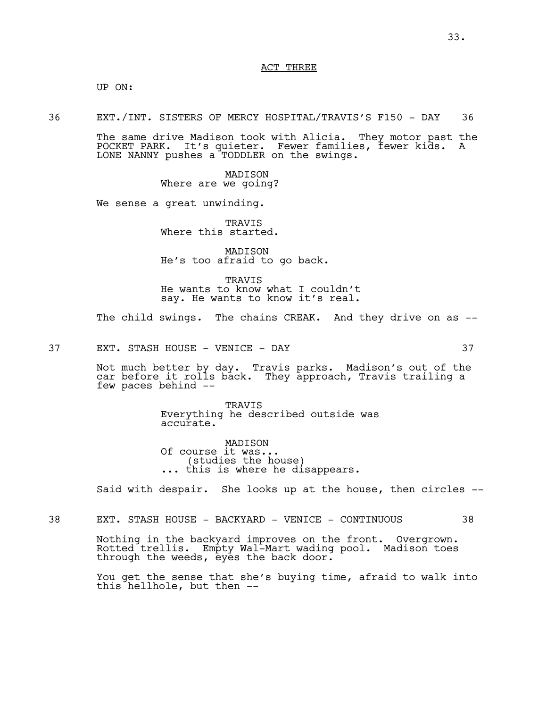## ACT THREE

UP ON:

36 EXT./INT. SISTERS OF MERCY HOSPITAL/TRAVIS'S F150 - DAY 36

The same drive Madison took with Alicia. They motor past the POCKET PARK. It's quieter. Fewer families, fewer kids. A LONE NANNY pushes a TODDLER on the swings.

> MADISON Where are we going?

We sense a great unwinding.

TRAVIS Where this started.

MADISON He's too afraid to go back.

TRAVIS He wants to know what I couldn't say. He wants to know it's real.

The child swings. The chains CREAK. And they drive on as --

37 EXT. STASH HOUSE - VENICE - DAY 37

Not much better by day. Travis parks. Madison's out of the car before it rolls back. They approach, Travis trailing a few paces behind --

> TRAVIS Everything he described outside was accurate.

MADISON Of course it was...<br>(studies the house) ... this is where he disappears.

Said with despair. She looks up at the house, then circles --

38 EXT. STASH HOUSE - BACKYARD - VENICE - CONTINUOUS 38

Nothing in the backyard improves on the front. Overgrown. Rotted trellis. Empty Wal-Mart wading pool. Madison toes through the weeds, eyes the back door.

You get the sense that she's buying time, afraid to walk into this hellhole, but then --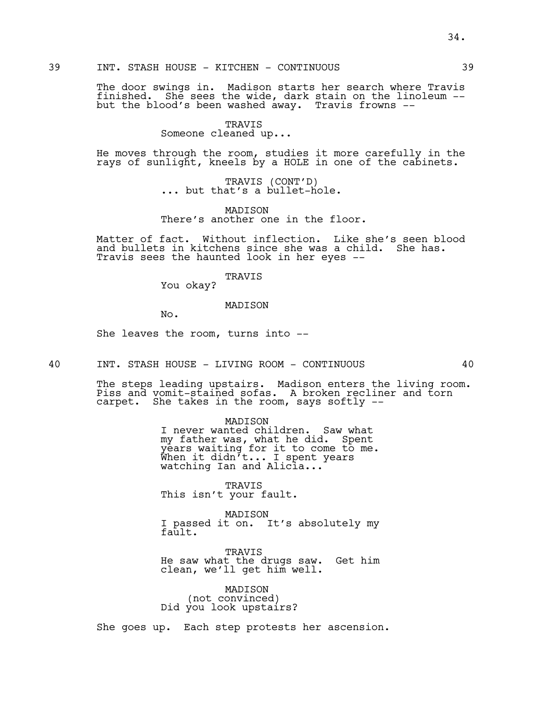The door swings in. Madison starts her search where Travis finished. She sees the wide, dark stain on the linoleum - but the blood's been washed away. Travis frowns --

#### TRAVIS

Someone cleaned up...

He moves through the room, studies it more carefully in the rays of sunlight, kneels by a HOLE in one of the cabinets.

TRAVIS (CONT'D)<br>... but that's a bullet-hole.

MADISON There's another one in the floor.

Matter of fact. Without inflection. Like she's seen blood and bullets in kitchens since she was a child. She has. Travis sees the haunted look in her eyes --

TRAVIS

You okay?

# MADISON

No.

She leaves the room, turns into --

40 INT. STASH HOUSE - LIVING ROOM - CONTINUOUS 40

The steps leading upstairs. Madison enters the living room. Piss and vomit-stained sofas. A broken recliner and torn carpet. She takes in the room, says softly --

> MADISON I never wanted children. Saw what my father was, what he did. Spent years waiting for it to come to me. When it didn't... I spent years watching Ian and Alic ${\tt la...}$

TRAVIS This isn't your fault.

MADISON I passed it on. It's absolutely my fault.

TRAVIS He saw what the drugs saw. Get him clean, we'll get him well.

MADISON (not convinced) Did you look upstairs?

She goes up. Each step protests her ascension.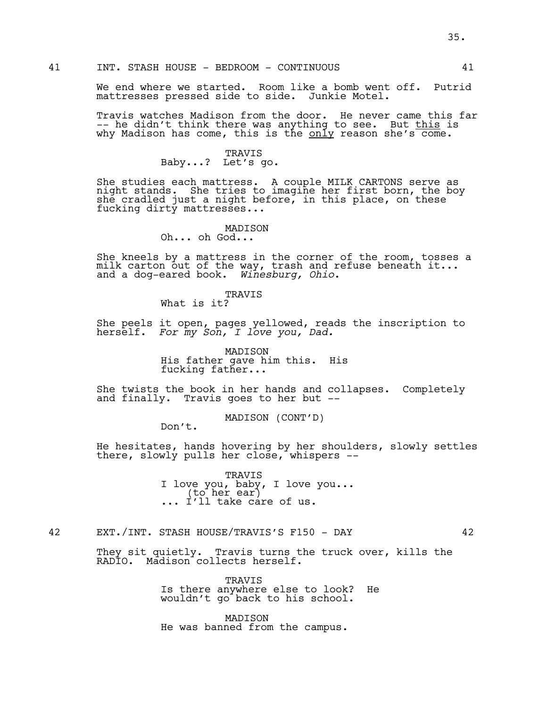We end where we started. Room like a bomb went off. Putrid mattresses pressed side to side. Junkie Motel.

Travis watches Madison from the door. He never came this far -- he didn't think there was anything to see. But this is why Madison has come, this is the only reason she's  $\overline{\text{come}}$ .

# TRAVIS Baby...? Let's go.

She studies each mattress. A couple MILK CARTONS serve as night stands. She tries to imagine her first born, the boy she cradled just a night before, in this place, on these fucking dirty mattresses...

## MADISON

Oh... oh God...

She kneels by a mattress in the corner of the room, tosses a milk carton out of the way, trash and refuse beneath it... and a dog-eared book. *Winesburg, Ohio*.

#### TRAVIS

What is it?

She peels it open, pages yellowed, reads the inscription to herself. *For my Son, I love you, Dad.*

> MADISON His father gave him this. His fucking father...

She twists the book in her hands and collapses. Completely and finally. Travis goes to her but --

MADISON (CONT'D)

Don't.

He hesitates, hands hovering by her shoulders, slowly settles there, slowly pulls her close, whispers --

> TRAVIS I love you, baby, I love you... (to her ear) ... I'll take care of us.

# 42 EXT./INT. STASH HOUSE/TRAVIS'S F150 - DAY 42

They sit quietly. Travis turns the truck over, kills the RADIO. Madison collects herself.

> TRAVIS Is there anywhere else to look? He wouldn't go back to his school.

MADISON He was banned from the campus.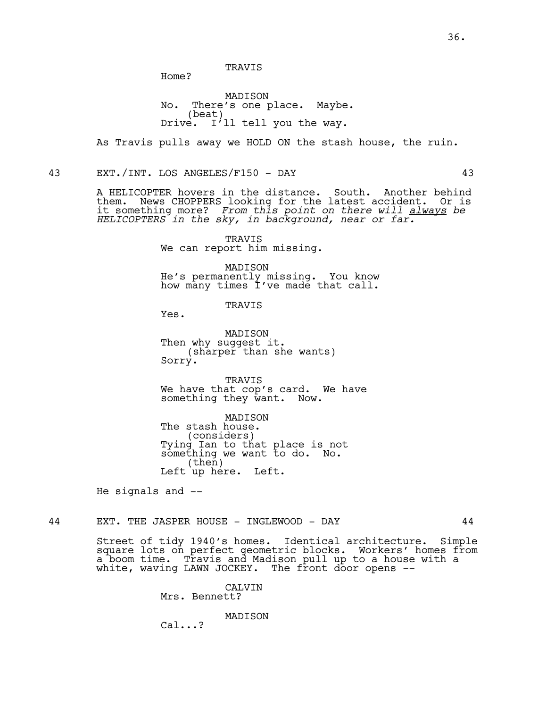TRAVIS

Home?

MADISON No. There's one place. Maybe. (beat) Drive. I'll tell you the way.

As Travis pulls away we HOLD ON the stash house, the ruin.

43 EXT./INT. LOS ANGELES/F150 - DAY 43

A HELICOPTER hovers in the distance. South. Another behind them. News CHOPPERS looking for the latest accident. Or is it something more? *From this point on there will always be HELICOPTERS in the sky, in background, near or far.*

> TRAVIS We can report him missing.

MADISON He's permanently missing. You know how many times I've made that call.

TRAVIS

Yes.

MADISON Then why suggest it. (sharper than she wants) Sorry.

TRAVIS We have that cop's card. We have<br>something they want. Now. something they want.

MADISON The stash house.<br>(considers) (considers) Tying Ian to that place is not something we want to do. No. (then) Left up here. Left.

He signals and --

44 EXT. THE JASPER HOUSE - INGLEWOOD - DAY 44

Street of tidy 1940's homes. Identical architecture. Simple square lots on perfect geometric blocks. Workers' homes from a boom time. Travis and Madison pull up to a house with a white, waving LAWN JOCKEY. The front door opens --

> CALVIN Mrs. Bennett?

> > MADISON

Cal...?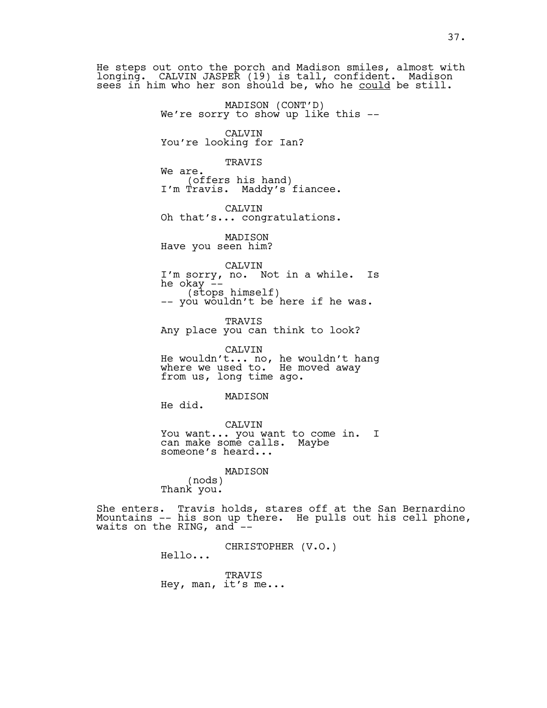He steps out onto the porch and Madison smiles, almost with longing. CALVIN JASPER (19) is tall, confident. Madison sees in him who her son should be, who he could be still.

MADISON (CONT'D)<br>We're sorry to show up like this --

CALVIN You're looking for Ian?

## TRAVIS

We are.<br>(offers his hand) I'm Travis. Maddy's fiancee.

CALVIN Oh that's... congratulations.

MADISON Have you seen him?

CALVIN

I'm sorry, no. Not in a while. Is (stops himself)<br>-- you wouldn't be here if he was.

TRAVIS Any place you can think to look?

CALVIN He wouldn't... no, he wouldn't hang where we used to. He moved away from us, long time ago.

MADISON

He did.

CALVIN You want... you want to come in. I can make some calls. Maybe someone's heard...

MADISON

(nods) Thank you.

She enters. Travis holds, stares off at the San Bernardino Mountains -- his son up there. He pulls out his cell phone, waits on the RING, and  $--$ 

CHRISTOPHER (V.O.) Hello...

TRAVIS

Hey, man, it's me...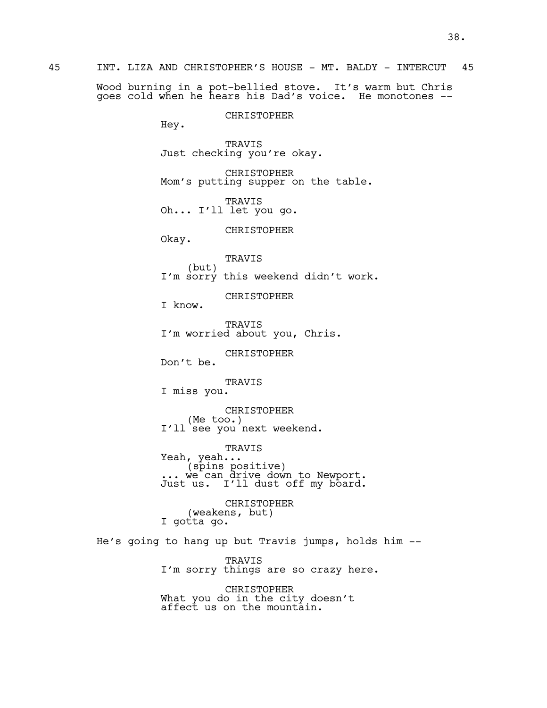45 INT. LIZA AND CHRISTOPHER'S HOUSE - MT. BALDY - INTERCUT 45

Wood burning in a pot-bellied stove. It's warm but Chris goes cold when he hears his Dad's voice. He monotones --

CHRISTOPHER

Hey.

TRAVIS Just checking you're okay.

CHRISTOPHER Mom's putting supper on the table.

TRAVIS Oh... I'll let you go.

CHRISTOPHER

Okay.

TRAVIS (but) I'm sorry this weekend didn't work.

CHRISTOPHER

I know.

TRAVIS I'm worried about you, Chris.

CHRISTOPHER

Don't be.

TRAVIS

I miss you.

CHRISTOPHER (Me too.) I'll see you next weekend.

TRAVIS<br>Yeah...

Yeah, yeah, yeah.<br>... we can drive down to Newport. Just us. I'll dust off my board.

CHRISTOPHER (weakens, but) I gotta go.

He's going to hang up but Travis jumps, holds him --

TRAVIS I'm sorry things are so crazy here.

CHRISTOPHER What you do in the city doesn't affect us on the mountain.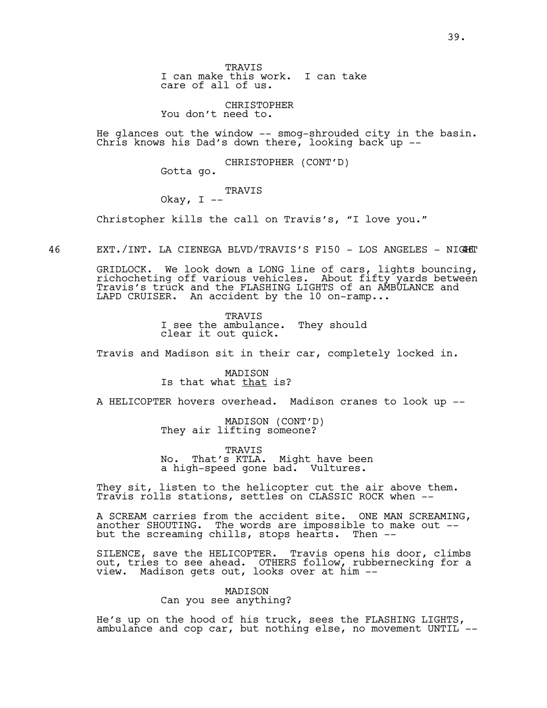TRAVIS I can make this work. I can take care of all of us.

CHRISTOPHER You don't need to.

He glances out the window -- smog-shrouded city in the basin. Chris knows his Dad's down there, looking back up --

CHRISTOPHER (CONT'D)

Gotta go.

TRAVIS

Okay,  $I$  --

Christopher kills the call on Travis's, "I love you."

46 EXT./INT. LA CIENEGA BLVD/TRAVIS'S F150 - LOS ANGELES - NIGHET

GRIDLOCK. We look down a LONG line of cars, lights bouncing, richocheting off various vehicles. About fifty yards between Travis's truck and the FLASHING LIGHTS of an AMBULANCE and LAPD CRUISER. An accident by the 10 on-ramp...

> TRAVIS I see the ambulance. They should clear it out quick.

Travis and Madison sit in their car, completely locked in.

MADISON Is that what that is?

A HELICOPTER hovers overhead. Madison cranes to look up --

MADISON (CONT'D)<br>They air lifting someone?

TRAVIS No. That's KTLA. Might have been a high-speed gone bad. Vultures.

They sit, listen to the helicopter cut the air above them. Travis rolls stations, settles on CLASSIC ROCK when --

A SCREAM carries from the accident site. ONE MAN SCREAMING, another SHOUTING. The words are impossible to make out - but the screaming chills, stops hearts. Then --

SILENCE, save the HELICOPTER. Travis opens his door, climbs out, tries to see ahead. OTHERS follow, rubbernecking for a view. Madison gets out, looks over at him --

> MADISON Can you see anything?

He's up on the hood of his truck, sees the FLASHING LIGHTS, ambulance and cop car, but nothing else, no movement UNTIL --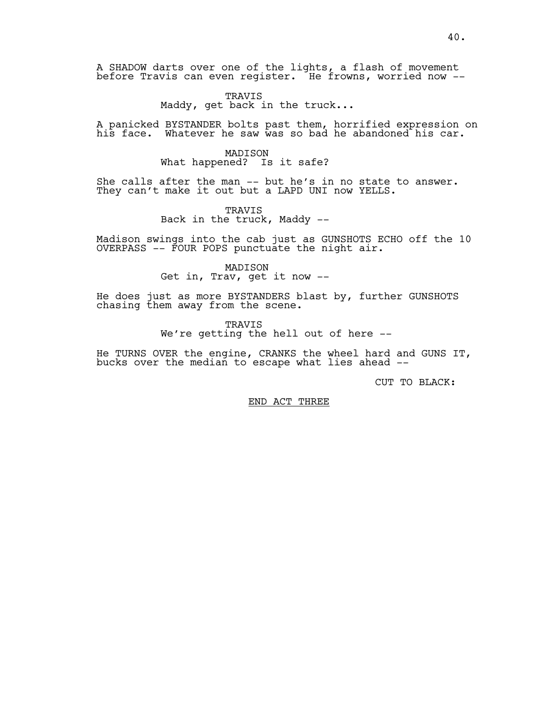A SHADOW darts over one of the lights, a flash of movement before Travis can even register. He frowns, worried now --

> TRAVIS Maddy, get back in the truck...

A panicked BYSTANDER bolts past them, horrified expression on his face. Whatever he saw was so bad he abandoned his car.

> MADISON What happened? Is it safe?

She calls after the man -- but he's in no state to answer. They can't make it out but a LAPD UNI now YELLS.

> TRAVIS Back in the truck, Maddy --

Madison swings into the cab just as GUNSHOTS ECHO off the 10 OVERPASS -- FOUR POPS punctuate the night air.

> MADISON Get in, Trav, get it now --

He does just as more BYSTANDERS blast by, further GUNSHOTS chasing them away from the scene.

> TRAVIS We're getting the hell out of here --

He TURNS OVER the engine, CRANKS the wheel hard and GUNS IT, bucks over the median to escape what lies ahead --

CUT TO BLACK:

END ACT THREE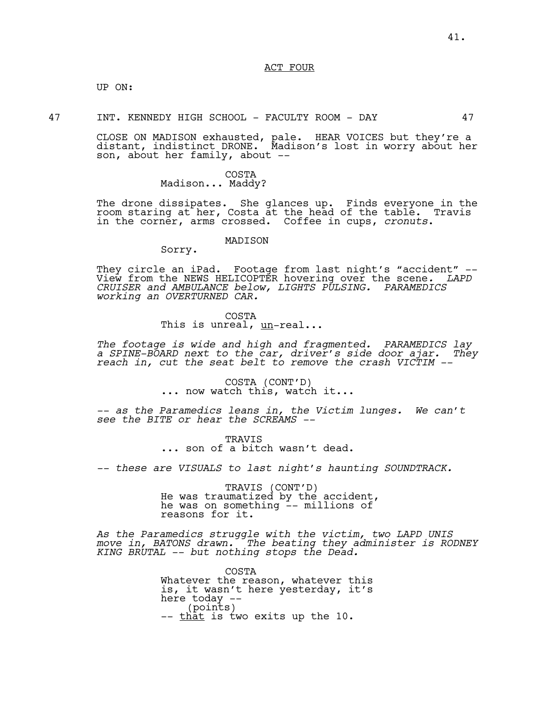ACT FOUR

UP ON:

47 INT. KENNEDY HIGH SCHOOL - FACULTY ROOM - DAY 47

CLOSE ON MADISON exhausted, pale. HEAR VOICES but they're a distant, indistinct DRONE. Madison's lost in worry about her son, about her family, about --

#### COSTA Madison... Maddy?

Sorry.

The drone dissipates. She glances up. Finds everyone in the room staring at her, Costa at the head of the table. Travis in the corner, arms crossed. Coffee in cups, *cronuts*.

# MADISON

They circle an iPad. Footage from last night's "accident" -- View from the NEWS HELICOPTER hovering over the scene*. LAPD CRUISER and AMBULANCE below, LIGHTS PULSING. PARAMEDICS working an OVERTURNED CAR.*

# COSTA This is unreal, un-real...

*The footage is wide and high and fragmented. PARAMEDICS lay a SPINE-BOARD next to the car, driver's side door ajar. They reach in, cut the seat belt to remove the crash VICTIM --*

COSTA (CONT'D) ... now watch this, watch it...

*-- as the Paramedics leans in, the Victim lunges. We can't see the BITE or hear the SCREAMS --*

> TRAVIS ... son of a bitch wasn't dead.

*-- these are VISUALS to last night's haunting SOUNDTRACK.* 

TRAVIS (CONT'D)<br>He was traumatized by the accident, he was on something -- millions of reasons for it.

*As the Paramedics struggle with the victim, two LAPD UNIS move in, BATONS drawn. The beating they administer is RODNEY KING BRUTAL -- but nothing stops the Dead.*

> COSTA Whatever the reason, whatever this is, it wasn't here yesterday, it's here today  $-$ <br>(points)<br>-- <u>that</u> is two exits up the 10.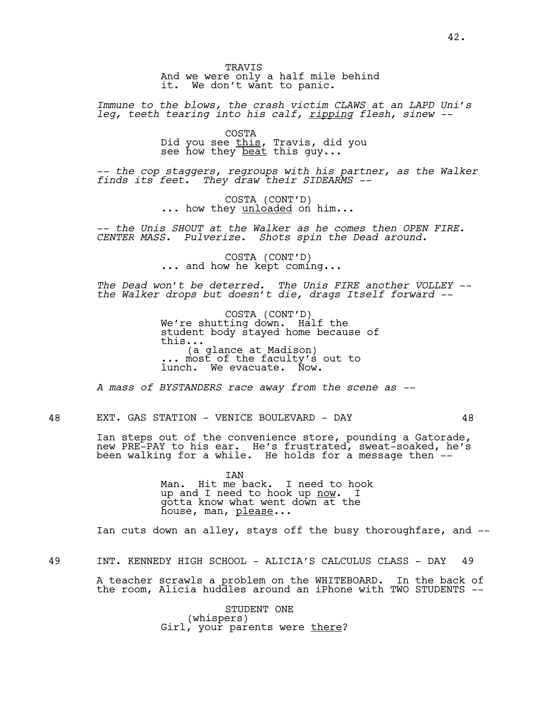TRAVIS And we were only a half mile behind it. We don't want to panic.

*Immune to the blows, the crash victim CLAWS at an LAPD Uni's leg, teeth tearing into his calf, ripping flesh, sinew --*

> COSTA Did you see <u>this</u>, Travis, did you see how they beat this guy...

*-- the cop staggers, regroups with his partner, as the Walker finds its feet. They draw their SIDEARMS --*

COSTA (CONT'D)<br>... how they <u>unloaded</u> on him...

*-- the Unis SHOUT at the Walker as he comes then OPEN FIRE. CENTER MASS. Pulverize. Shots spin the Dead around.*

COSTA (CONT'D)<br>... and how he kept coming...

*The Dead won't be deterred. The Unis FIRE another VOLLEY - the Walker drops but doesn't die, drags Itself forward --* 

> COSTA (CONT'D)<br>We're shutting down. Half the student body stayed home because of this... (a glance at Madison) ... most of the faculty's out to lunch. We evacuate. Now.

*A mass of BYSTANDERS race away from the scene as --*

48 EXT. GAS STATION - VENICE BOULEVARD - DAY 48

Ian steps out of the convenience store, pounding a Gatorade, new PRE-PAY to his ear. He's frustrated, sweat-soaked, he's been walking for a while. He holds for a message then --

> IAN Man. Hit me back. I need to hook up and I need to hook up now. I gotta know what went down at the house, man, please...

Ian cuts down an alley, stays off the busy thoroughfare, and --

49 INT. KENNEDY HIGH SCHOOL - ALICIA'S CALCULUS CLASS - DAY 49

A teacher scrawls a problem on the WHITEBOARD. In the back of the room, Alicia huddles around an iPhone with TWO STUDENTS --

> STUDENT ONE<br>(whispers) Girl, your parents were there?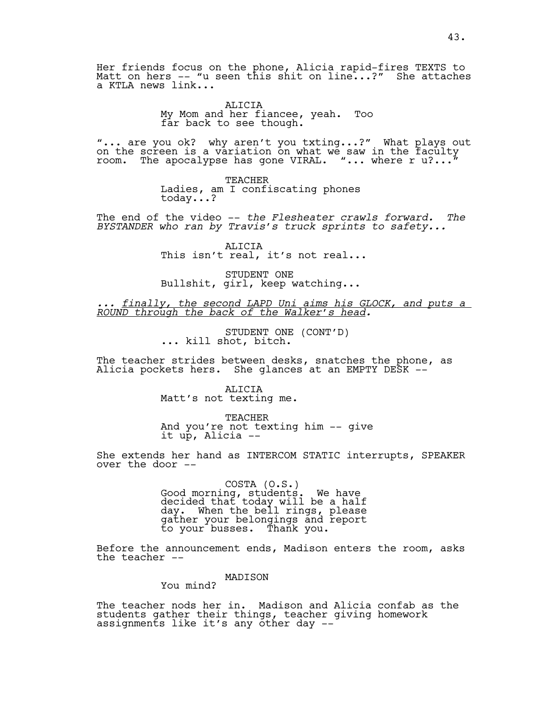Her friends focus on the phone, Alicia rapid-fires TEXTS to Matt on hers -- "u seen this shit on line...?" She attaches a KTLA news link...

> ALICIA My Mom and her fiancee, yeah. Too far back to see though.

"... are you ok? why aren't you txting...?" What plays out on the screen is a variation on what we saw in the faculty room. The apocalypse has gone VIRAL. "... where r  $\texttt{u}?\dots$  "

> TEACHER Ladies, am I confiscating phones today...?

The end of the video -- *the Flesheater crawls forward. The BYSTANDER who ran by Travis's truck sprints to safety...* 

> ALICIA This isn't real, it's not real...

STUDENT ONE Bullshit, girl, keep watching...

*... finally, the second LAPD Uni aims his GLOCK, and puts a ROUND through the back of the Walker's head.*

STUDENT ONE (CONT'D)<br>... kill shot, bitch.

The teacher strides between desks, snatches the phone, as Alicia pockets hers. She glances at an EMPTY DESK --

> ALICIA Matt's not texting me.

TEACHER And you're not texting him -- give it up, Alicia --

She extends her hand as INTERCOM STATIC interrupts, SPEAKER over the door --

> COSTA (O.S.)<br>Good morning, students. We have decided that today will be a half day. When the bell rings, please gather your belongings and report to your busses. Thank you.

Before the announcement ends, Madison enters the room, asks the teacher --

MADISON

You mind?

The teacher nods her in. Madison and Alicia confab as the students gather their things, teacher giving homework assignments like it's any other day --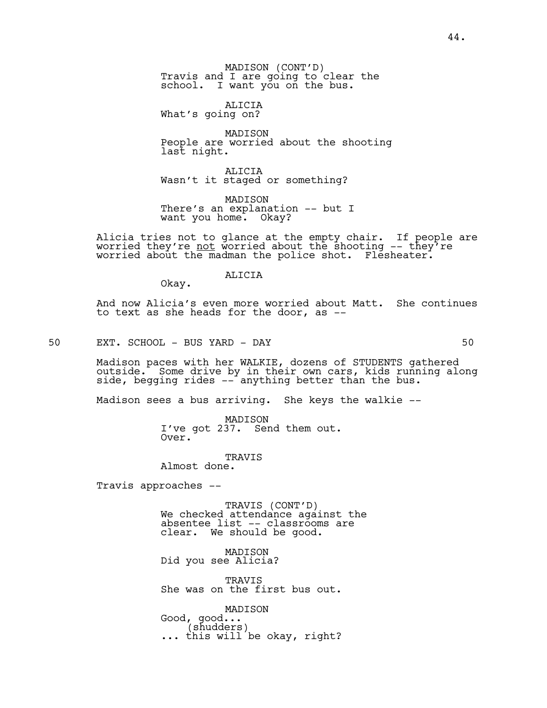MADISON (CONT'D)<br>Travis and I are going to clear the school. I want you on the bus.

ALICIA What's going on?

MADISON People are worried about the shooting last night.

ALICIA Wasn't it staged or something?

MADISON There's an explanation -- but I want you home. Okay?

Alicia tries not to glance at the empty chair. If people are worried they're <u>not</u> worried about the shooting -- they<sup>7</sup>re<br>worried about the madman the police shot. Flesheater.

ALICIA

And now Alicia's even more worried about Matt. She continues to text as she heads for the door, as --

50 EXT. SCHOOL - BUS YARD - DAY 50

Okay.

Madison paces with her WALKIE, dozens of STUDENTS gathered outside. Some drive by in their own cars, kids running along side, begging rides -- anything better than the bus.

Madison sees a bus arriving. She keys the walkie --

MADISON I've got 237. Send them out. Over.

TRAVIS Almost done.

Travis approaches --

TRAVIS (CONT'D) We checked attendance against the absentee list -- classrooms are clear. We should be good.

MADISON Did you see Alicia?

TRAVIS She was on the first bus out.

MADISON Good, good...<br>(shudders) ... this will be okay, right?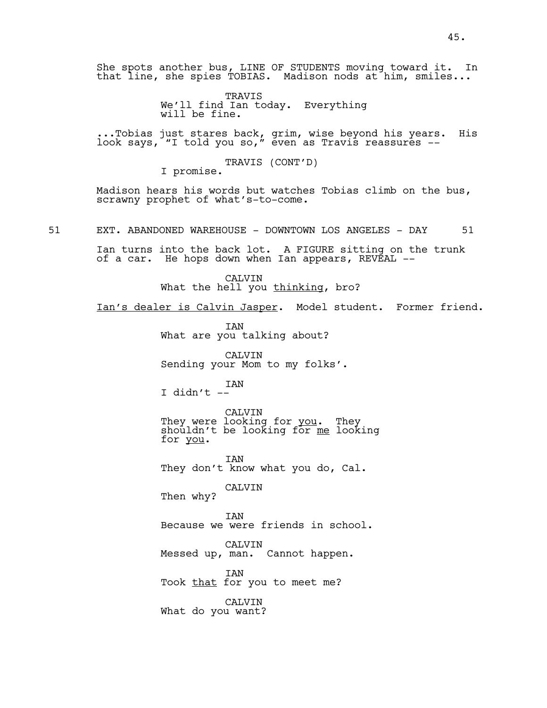She spots another bus, LINE OF STUDENTS moving toward it. In that line, she spies TOBIAS. Madison nods at him, smiles...

> TRAVIS We'll find Ian today. Everything will be fine.

...Tobias just stares back, grim, wise beyond his years. His look says, "I told you so," even as Travis reassures --

TRAVIS (CONT'D)<br>I promise.

Madison hears his words but watches Tobias climb on the bus, scrawny prophet of what's-to-come.

51 EXT. ABANDONED WAREHOUSE - DOWNTOWN LOS ANGELES - DAY 51

Ian turns into the back lot. A FIGURE sitting on the trunk of a car. He hops down when Ian appears, REVEAL --

> CALVIN What the hell you thinking, bro?

Ian's dealer is Calvin Jasper. Model student. Former friend.

IAN What are you talking about?

CALVIN Sending your Mom to my folks'.

IAN I didn't --

CALVIN<br>They were looking for <u>you</u>. They shouldn't be looking for me looking for you.

IAN They don't know what you do, Cal.

CALVIN Then why?

IAN Because we were friends in school.

CALVIN Messed up, man. Cannot happen.

IAN Took that for you to meet me?

CALVIN What do you want?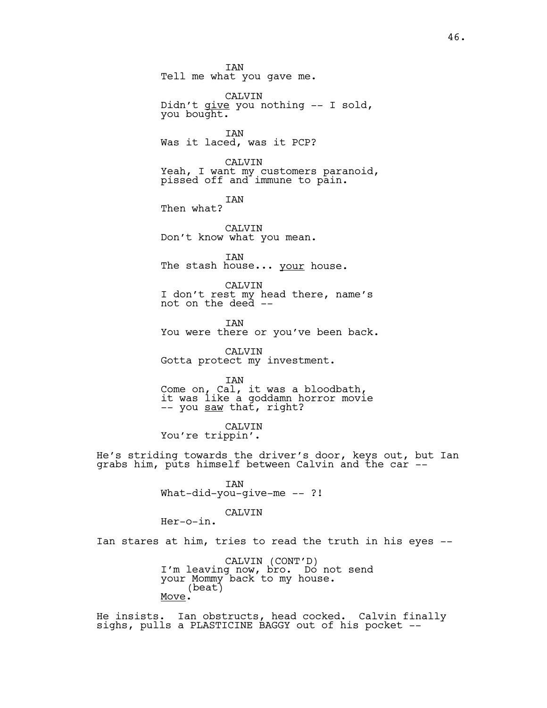IAN Tell me what you gave me. CALVIN Didn't give you nothing -- I sold, you bought. IAN Was it laced, was it PCP? CALVIN Yeah, I want my customers paranoid, pissed off and immune to pain. IAN Then what? CALVIN Don't know what you mean. IAN The stash house... your house. CALVIN I don't rest my head there, name's not on the deed -- IAN You were there or you've been back. CALVIN Gotta protect my investment. IAN Come on, Cal, it was a bloodbath, it was like a goddamn horror movie -- you <u>saw</u> thať, right? CALVIN You're trippin'. He's striding towards the driver's door, keys out, but Ian grabs him, puts himself between Calvin and the car -- IAN What-did-you-qive-me -- ?! CALVIN Her-o-in. Ian stares at him, tries to read the truth in his eyes --

> CALVIN (CONT'D)<br>I'm leaving now, bro. Do not send your Mommy back to my house. (beat) Move.

He insists. Ian obstructs, head cocked. Calvin finally sighs, pulls a PLASTICINE BAGGY out of his pocket --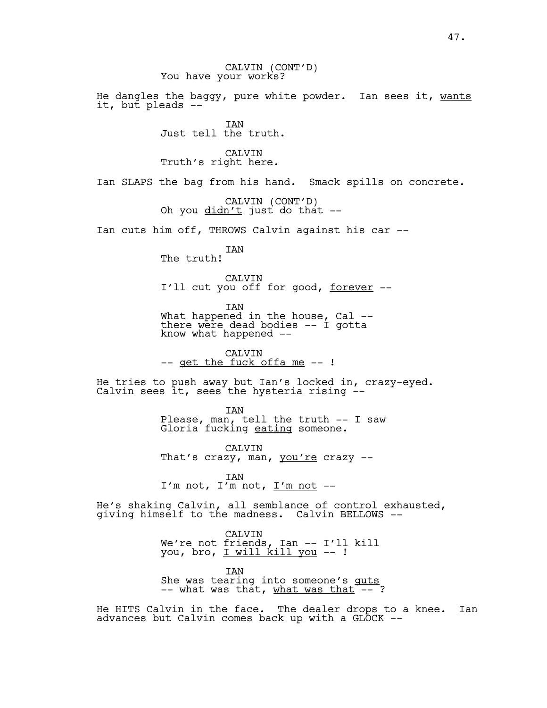CALVIN (CONT'D)<br>You have your works?

He dangles the baggy, pure white powder. Ian sees it, wants it, but pleads --

> IAN Just tell the truth.

CALVIN Truth's right here.

Ian SLAPS the bag from his hand. Smack spills on concrete.

CALVIN (CONT'D)<br>Oh you <u>didn't</u> just do that --

Ian cuts him off, THROWS Calvin against his car --

IAN The truth!

CALVIN I'll cut you off for good, <u>forever</u> --

IAN

What happened in the house, Cal -there were dead bodies -- I gotta know what happened --

CALVIN<br>-- get the fuck offa me -- !

He tries to push away but Ian's locked in, crazy-eyed. Calvin sees it, sees the hysteria rising --

> IAN Please, man, tell the truth -- I saw Gloria fucking <u>eating</u> someone.

CALVIN That's crazy, man, you're crazy --

IAN I'm not, I'm not, I'm not --

He's shaking Calvin, all semblance of control exhausted, giving himself to the madness. Calvin BELLOWS --

> CALVIN We're not friends, Ian -- I'll kill you, bro, <u>I will kill you</u> -- !

> IAN She was tearing into someone's guts  $--$  what was that, what was that  $--$  ?

He HITS Calvin in the face. The dealer drops to a knee. Ian advances but Calvin comes back up with a GLOCK --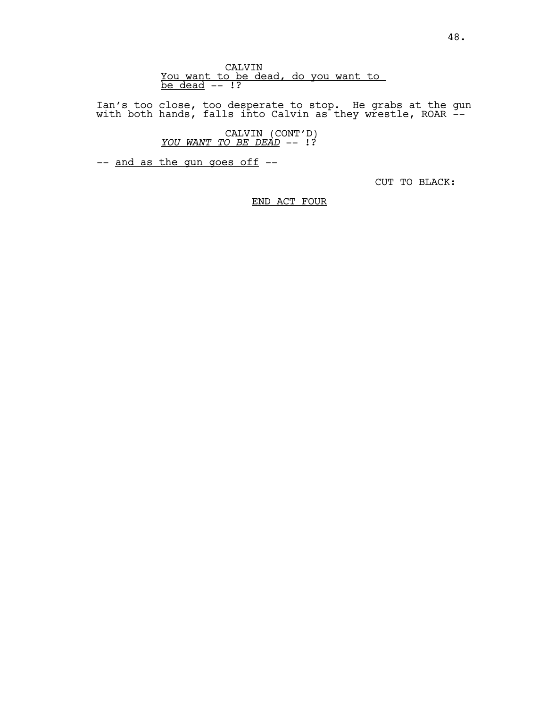Ian's too close, too desperate to stop. He grabs at the gun with both hands, falls into Calvin as they wrestle, ROAR --

CALVIN (CONT'D) *YOU WANT TO BE DEAD* -- !?

-- and as the gun goes off --

CUT TO BLACK:

# END ACT FOUR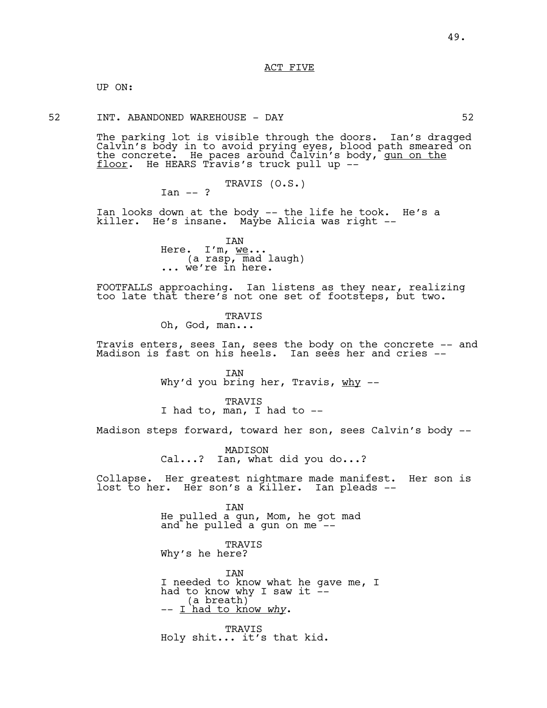ACT FIVE

UP ON:

52 INT. ABANDONED WAREHOUSE - DAY 52

The parking lot is visible through the doors. Ian's dragged Calvin's body in to avoid prying eyes, blood path smeared on the concrete. He paces around Calvin's body, <u>gun on the</u> floor. He HEARS Travis's truck pull up --

> TRAVIS (O.S.)  $Tan -2$

Ian looks down at the body -- the life he took. He's a killer. He's insane. Maybe Alicia was right --

> IAN<br>Here. I'm, <u>we</u>... (a rasp, mad laugh)<br>... we're in here.

FOOTFALLS approaching. Ian listens as they near, realizing too late that there's not one set of footsteps, but two.

> TRAVIS Oh, God, man...

Travis enters, sees Ian, sees the body on the concrete -- and Madison is fast on his heels. Ian sees her and cries --

> IAN Why'd you bring her, Travis,  $why$  --

TRAVIS I had to, man, I had to --

Madison steps forward, toward her son, sees Calvin's body --

MADISON Cal...? Ian, what did you do...?

Collapse. Her greatest nightmare made manifest. Her son is lost to her. Her son's a killer. Ian pleads --

> IAN He pulled a gun, Mom, he got mad and he pulled a gun on me --

TRAVIS Why's he here?

IAN I needed to know what he gave me, I had to know why I saw it --(a breath) -- I had to know *why*.

TRAVIS Holy shit... it's that kid.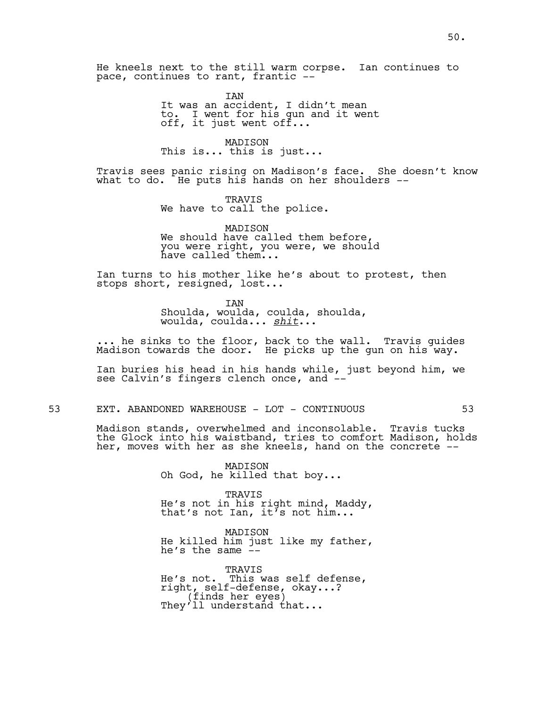He kneels next to the still warm corpse. Ian continues to pace, continues to rant, frantic --

> IAN It was an accident, I didn't mean to. I went for his gun and it went off, it just went off...

MADISON This is... this is just...

Travis sees panic rising on Madison's face. She doesn't know what to do. He puts his hands on her shoulders --

> TRAVIS We have to call the police.

MADISON We should have called them before, you were right, you were, we should have called them...

Ian turns to his mother like he's about to protest, then stops short, resigned, lost...

> IAN Shoulda, woulda, coulda, shoulda, woulda, coulda... *shit*...

... he sinks to the floor, back to the wall. Travis guides Madison towards the door. $\acute{}$  He picks up the gun on his way.

Ian buries his head in his hands while, just beyond him, we see Calvin's fingers clench once, and --

53 EXT. ABANDONED WAREHOUSE - LOT - CONTINUOUS 53

Madison stands, overwhelmed and inconsolable. Travis tucks the Glock into his waistband, tries to comfort Madison, holds her, moves with her as she kneels, hand on the concrete --

> MADISON Oh God, he killed that boy...

TRAVIS He's not in his right mind, Maddy, that's not Ian, it's not him...

MADISON He killed him just like my father, he's the same  $\frac{3}{x}$ -

TRAVIS He's not. This was self defense, right, self-defense, okay...?<br>(finds her eyes)<br>They'll understand that...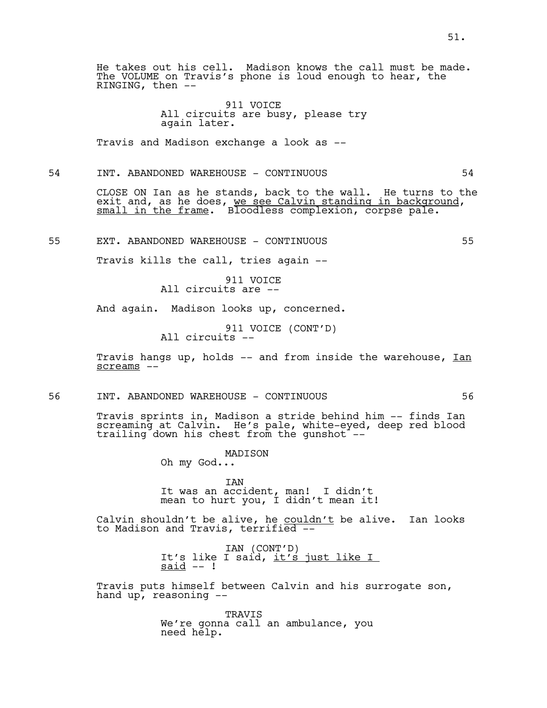He takes out his cell. Madison knows the call must be made. The VOLUME on Travis's phone is loud enough to hear, the RINGING, then --

# 911 VOICE All circuits are busy, please try again later.

Travis and Madison exchange a look as --

54 INT. ABANDONED WAREHOUSE - CONTINUOUS 54

CLOSE ON Ian as he stands, back to the wall. He turns to the exit and, as he does, <u>we see Calvin standing in background</u>,<br><u>small in the frame</u>. Bloodless complexion, corpse pale.

55 EXT. ABANDONED WAREHOUSE - CONTINUOUS 55

Travis kills the call, tries again --

911 VOICE All circuits are --

And again. Madison looks up, concerned.

911 VOICE (CONT'D)<br>All circuits --

Travis hangs up, holds -- and from inside the warehouse, Ian screams --

56 INT. ABANDONED WAREHOUSE - CONTINUOUS 56

Travis sprints in, Madison a stride behind him -- finds Ian screaming at Calvin. He's pale, white-eyed, deep red blood trailing down his chest from the gunshot --

MADISON

Oh my God...

IAN It was an accident, man! I didn't mean to hurt you, I didn't mean it!

Calvin shouldn't be alive, he couldn't be alive. Ian looks to Madison and Travis, terrified --

IAN (CONT'D)<br>It's like I said, <u>it's just like I</u><br>said -- !

Travis puts himself between Calvin and his surrogate son, hand up, reasoning --

> TRAVIS We're gonna call an ambulance, you need help.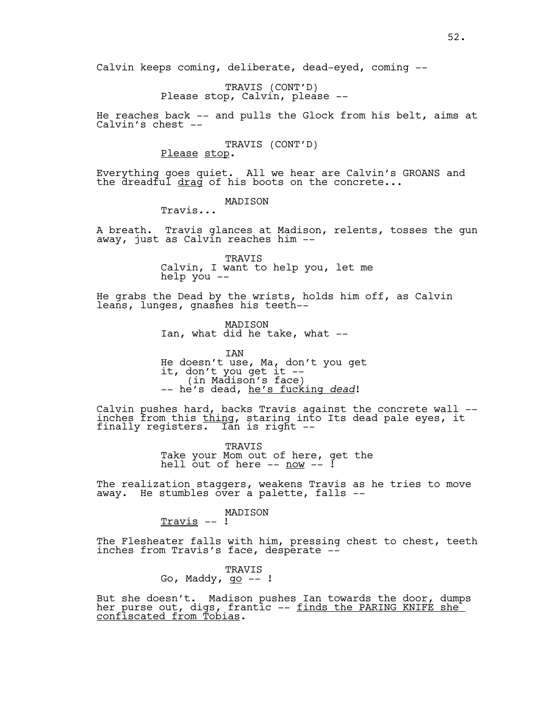Calvin keeps coming, deliberate, dead-eyed, coming --

TRAVIS (CONT'D)<br>Please stop, Calvin, please --

He reaches back -- and pulls the Glock from his belt, aims at Calvin's chest --

TRAVIS (CONT'D)<br>Please stop.

Everything goes quiet. All we hear are Calvin's GROANS and the dreadful drag of his boots on the concrete...

# MADISON

Travis...

A breath. Travis glances at Madison, relents, tosses the gun away, just as Calvin reaches him --

> TRAVIS Calvin, I want to help you, let me help you --

He grabs the Dead by the wrists, holds him off, as Calvin leans, lunges, gnashes his teeth--

> MADISON Ian, what did he take, what --

IAN He doesn't use, Ma, don't you get it, don't you get it --<br>(in Madison's face)<br>-- he's dead, <u>he's fucking *dead*</u>!

Calvin pushes hard, backs Travis against the concrete wall - inches from this <u>thing</u>, staring into Its dead pale eyes, it<br>finally registers. Ian is right --

> TRAVIS Take your Mom out of here, get the hell out of here -- <u>now</u> -- !

The realization staggers, weakens Travis as he tries to move away. He stumbles over a palette, falls --

MADISON

Travis -- !

The Flesheater falls with him, pressing chest to chest, teeth inches from Travis's face, desperate --

# TRAVIS Go, Maddy,  $q_0$  -- !

But she doesn't. Madison pushes Ian towards the door, dumps her purse out, digs, frantic -- <u>finds the PARING KNIFE she<sup>-</sup></u> <u>confiscated from Tobias</u>.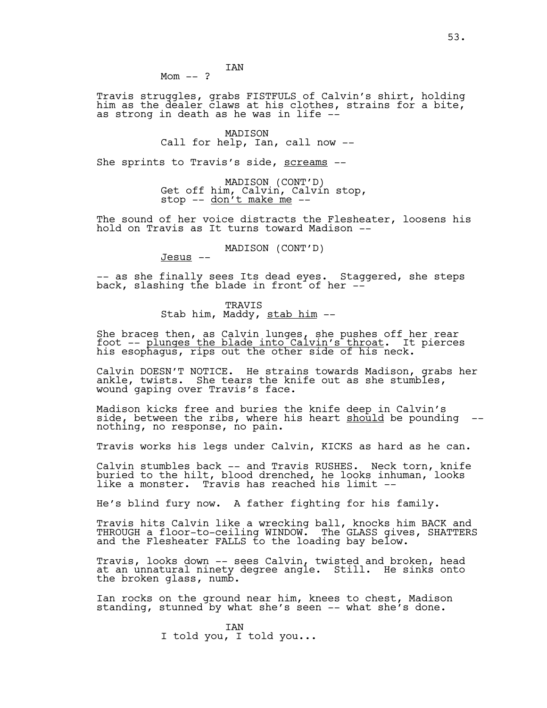Travis struggles, grabs FISTFULS of Calvin's shirt, holding him as the dealer claws at his clothes, strains for a bite, as strong in death as he was in life --

# MADISON Call for help, Ian, call now --

She sprints to Travis's side, screams --

MADISON (CONT'D)<br>Get off him, Calvin, Calvin stop, stop  $--$  don't make me  $--$ 

The sound of her voice distracts the Flesheater, loosens his hold on Travis as It turns toward Madison --

MADISON (CONT'D)

Jesus --

-- as she finally sees Its dead eyes. Staggered, she steps back, slashing the blade in front of her  $-$ 

> TRAVIS Stab him, Maddy, stab him --

She braces then, as Calvin lunges, she pushes off her rear foot -- <u>plunges the blade into Calvin's throat</u>. It pierces<br>his esophagus, rips out the other side of his neck.

Calvin DOESN'T NOTICE. He strains towards Madison, grabs her ankle, twists. She tears the knife out as she stumbles, wound gaping over Travis's face.

Madison kicks free and buries the knife deep in Calvin's side, between the ribs, where his heart should be pounding --<br>nothing, no response, no pain.

Travis works his legs under Calvin, KICKS as hard as he can.

Calvin stumbles back -- and Travis RUSHES. Neck torn, knife buried to the hilt, blood drenched, he looks inhuman, looks like a monster. Travis has reached his limit --

He's blind fury now. A father fighting for his family.

Travis hits Calvin like a wrecking ball, knocks him BACK and THROUGH a floor-to-ceiling WINDOW. The GLASS gives, SHATTERS and the Flesheater FALLS to the loading bay below.

Travis, looks down -- sees Calvin, twisted and broken, head at an unnatural ninety degree angle. Still. He sinks onto the broken glass, numb.

Ian rocks on the ground near him, knees to chest, Madison standing, stunned by what she's seen -- what she's done.

> IAN I told you, I told you...